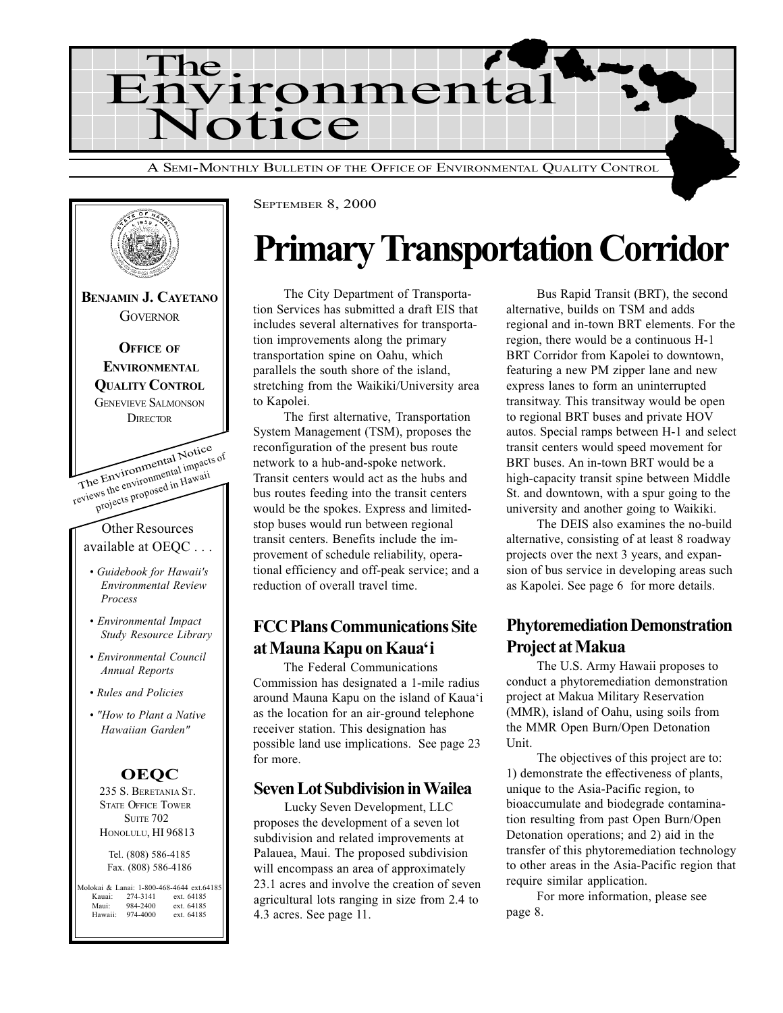



# Primary Transportation Corridor

The City Department of Transportation Services has submitted a draft EIS that includes several alternatives for transportation improvements along the primary transportation spine on Oahu, which parallels the south shore of the island, stretching from the Waikiki/University area to Kapolei.

The first alternative, Transportation System Management (TSM), proposes the reconfiguration of the present bus route network to a hub-and-spoke network. Transit centers would act as the hubs and bus routes feeding into the transit centers would be the spokes. Express and limitedstop buses would run between regional transit centers. Benefits include the improvement of schedule reliability, operational efficiency and off-peak service; and a reduction of overall travel time.

## FCC Plans Communications Site at Mauna Kapu on Kaua'i

The Federal Communications Commission has designated a 1-mile radius around Mauna Kapu on the island of Kaua'i as the location for an air-ground telephone receiver station. This designation has possible land use implications. See page 23 for more.

### Seven Lot Subdivision in Wailea

Lucky Seven Development, LLC proposes the development of a seven lot subdivision and related improvements at Palauea, Maui. The proposed subdivision will encompass an area of approximately 23.1 acres and involve the creation of seven agricultural lots ranging in size from 2.4 to 4.3 acres. See page 11.

Bus Rapid Transit (BRT), the second alternative, builds on TSM and adds regional and in-town BRT elements. For the region, there would be a continuous H-1 BRT Corridor from Kapolei to downtown, featuring a new PM zipper lane and new express lanes to form an uninterrupted transitway. This transitway would be open to regional BRT buses and private HOV autos. Special ramps between H-1 and select transit centers would speed movement for BRT buses. An in-town BRT would be a high-capacity transit spine between Middle St. and downtown, with a spur going to the university and another going to Waikiki.

The DEIS also examines the no-build alternative, consisting of at least 8 roadway projects over the next 3 years, and expansion of bus service in developing areas such as Kapolei. See page 6 for more details.

# Phytoremediation Demonstration Project at Makua

The U.S. Army Hawaii proposes to conduct a phytoremediation demonstration project at Makua Military Reservation (MMR), island of Oahu, using soils from the MMR Open Burn/Open Detonation Unit.

The objectives of this project are to: 1) demonstrate the effectiveness of plants, unique to the Asia-Pacific region, to bioaccumulate and biodegrade contamination resulting from past Open Burn/Open Detonation operations; and 2) aid in the transfer of this phytoremediation technology to other areas in the Asia-Pacific region that require similar application.

For more information, please see page 8.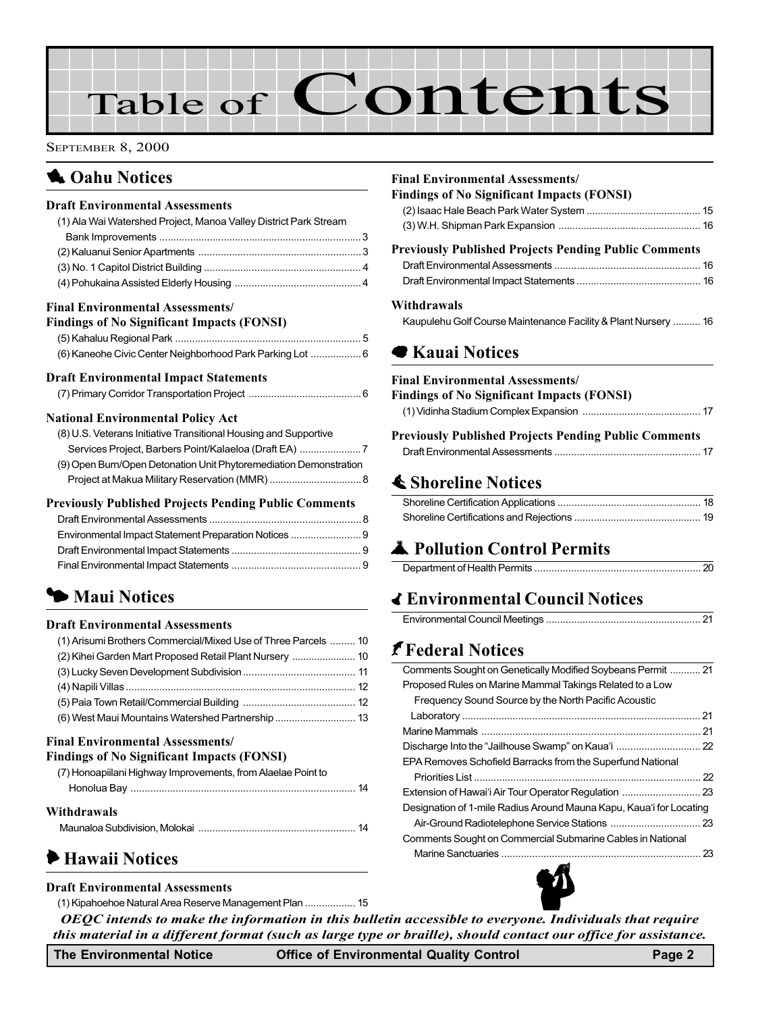# Table of Contents

SEPTEMBER 8, 2000

# **1** Oahu Notices

#### Draft Environmental Assessments

| (1) Ala Wai Watershed Project, Manoa Valley District Park Stream |  |
|------------------------------------------------------------------|--|
|                                                                  |  |
|                                                                  |  |
|                                                                  |  |
|                                                                  |  |
|                                                                  |  |

#### Final Environmental Assessments/

|  | <b>Findings of No Significant Impacts (FONSI)</b> |  |
|--|---------------------------------------------------|--|
|--|---------------------------------------------------|--|

| (6) Kaneohe Civic Center Neighborhood Park Parking Lot 6 |  |
|----------------------------------------------------------|--|

| <b>Draft Environmental Impact Statements</b> |  |  |
|----------------------------------------------|--|--|
|                                              |  |  |

#### National Environmental Policy Act

| (8) U.S. Veterans Initiative Transitional Housing and Supportive  |
|-------------------------------------------------------------------|
|                                                                   |
| (9) Open Burn/Open Detonation Unit Phytoremediation Demonstration |
|                                                                   |

#### Previously Published Projects Pending Public Comments

# **5 Maui Notices**

#### Draft Environmental Assessments

| (1) Arisumi Brothers Commercial/Mixed Use of Three Parcels  10 |  |
|----------------------------------------------------------------|--|
| (2) Kihei Garden Mart Proposed Retail Plant Nursery  10        |  |
|                                                                |  |
|                                                                |  |
|                                                                |  |
|                                                                |  |

#### Final Environmental Assessments/

#### Findings of No Significant Impacts (FONSI)

| (7) Honoapiilani Highway Improvements, from Alaelae Point to |  |
|--------------------------------------------------------------|--|
|                                                              |  |
| Withdrawals                                                  |  |
|                                                              |  |

# 6 Hawaii Notices

#### Draft Environmental Assessments

[\(1\) Kipahoehoe Natural Area Reserve Management Plan](#page-14-0) .................. 15

## OEQC intends to make the information in this bulletin accessible to everyone. Individuals that require this material in a different format (such as large type or braille), should contact our office for assistance.

#### The Environmental Notice **Office of Environmental Quality Control** Page 2

### Final Environmental Assessments/ Findings of No Significant Impacts (FONSI)

| $\mathbf{r}$ manner of $\mathbf{r}$ or $\mathbf{r}$ or $\mathbf{r}$ and $\mathbf{r}$ and $\mathbf{r}$ and $\mathbf{r}$ or $\mathbf{r}$ |  |
|----------------------------------------------------------------------------------------------------------------------------------------|--|
|                                                                                                                                        |  |
|                                                                                                                                        |  |
| <b>Previously Published Projects Pending Public Comments</b>                                                                           |  |
|                                                                                                                                        |  |
|                                                                                                                                        |  |
|                                                                                                                                        |  |

#### Withdrawals

[Kaupulehu Golf Course Maintenance Facility & Plant Nursery .......... 16](#page-15-0)

## **■ Kauai Notices**

#### Final Environmental Assessments/

| <b>Findings of No Significant Impacts (FONSI)</b>            |  |
|--------------------------------------------------------------|--|
|                                                              |  |
| <b>Previously Published Projects Pending Public Comments</b> |  |
|                                                              |  |

# **≰ Shoreline Notices**

# **A** Pollution Control Permits

# **∢ Environmental Council Notices**

|--|

# J[Federal Notices](#page-20-0)

| Comments Sought on Genetically Modified Soybeans Permit  21         |  |
|---------------------------------------------------------------------|--|
| Proposed Rules on Marine Mammal Takings Related to a Low            |  |
| Frequency Sound Source by the North Pacific Acoustic                |  |
|                                                                     |  |
|                                                                     |  |
|                                                                     |  |
| EPA Removes Schofield Barracks from the Superfund National          |  |
|                                                                     |  |
|                                                                     |  |
| Designation of 1-mile Radius Around Mauna Kapu, Kaua'i for Locating |  |
|                                                                     |  |
| Comments Sought on Commercial Submarine Cables in National          |  |
|                                                                     |  |
|                                                                     |  |

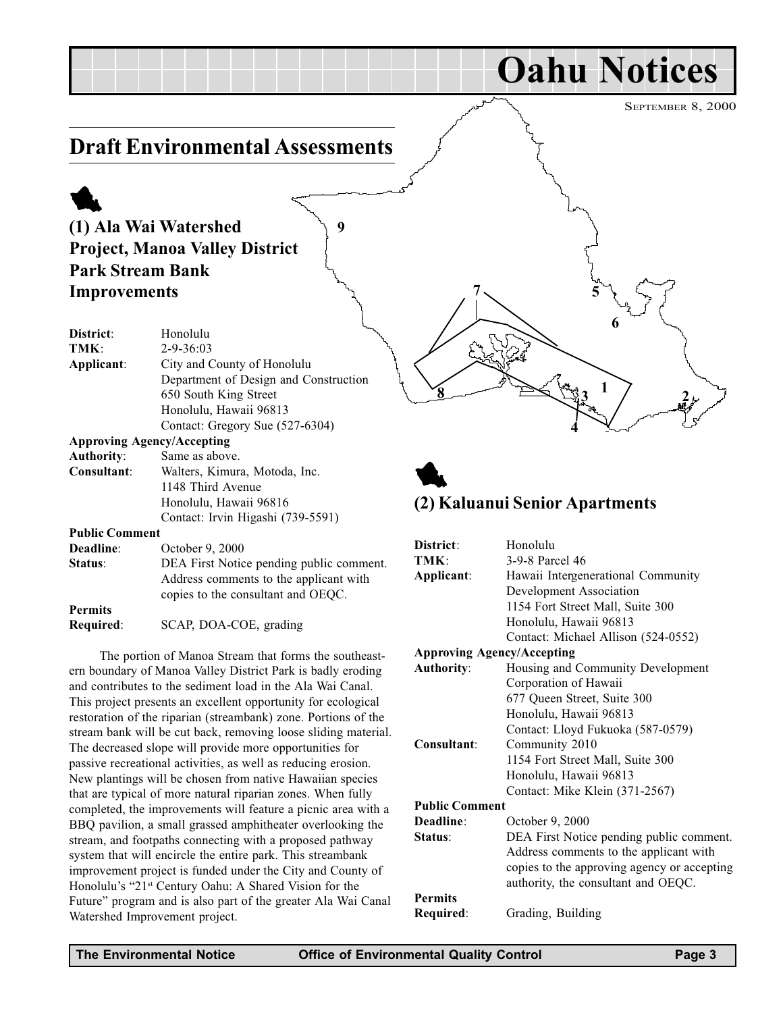<span id="page-2-0"></span>

| <b>Public Comment</b> |                                                                                                                          |
|-----------------------|--------------------------------------------------------------------------------------------------------------------------|
| Deadline:             | October 9, 2000                                                                                                          |
| Status:               | DEA First Notice pending public comment.<br>Address comments to the applicant with<br>copies to the consultant and OEOC. |
| <b>Permits</b>        |                                                                                                                          |

Required: SCAP, DOA-COE, grading

The portion of Manoa Stream that forms the southeastern boundary of Manoa Valley District Park is badly eroding and contributes to the sediment load in the Ala Wai Canal. This project presents an excellent opportunity for ecological restoration of the riparian (streambank) zone. Portions of the stream bank will be cut back, removing loose sliding material. The decreased slope will provide more opportunities for passive recreational activities, as well as reducing erosion. New plantings will be chosen from native Hawaiian species that are typical of more natural riparian zones. When fully completed, the improvements will feature a picnic area with a BBQ pavilion, a small grassed amphitheater overlooking the stream, and footpaths connecting with a proposed pathway system that will encircle the entire park. This streambank improvement project is funded under the City and County of Honolulu's "21<sup>st</sup> Century Oahu: A Shared Vision for the Future" program and is also part of the greater Ala Wai Canal Watershed Improvement project.

| <b>District:</b>  | Honolulu                            |
|-------------------|-------------------------------------|
| TMK:              | 3-9-8 Parcel 46                     |
| Applicant:        | Hawaii Intergenerational Community  |
|                   | Development Association             |
|                   | 1154 Fort Street Mall, Suite 300    |
|                   | Honolulu, Hawaii 96813              |
|                   | Contact: Michael Allison (524-0552) |
|                   | <b>Approving Agency/Accepting</b>   |
| <b>Authority:</b> | Housing and Community Development   |
|                   | Corporation of Hawaii               |
|                   | 677 Queen Street, Suite 300         |
|                   | Honolulu, Hawaii 96813              |
|                   | Contact: Lloyd Fukuoka (587-0579)   |
| Consultant:       | Community 2010                      |
|                   | 1154 Fort Street Mall, Suite 300    |
|                   | Honolulu, Hawaii 96813              |
|                   | Contact: Mike Klein (371-2567)      |
|                   |                                     |

Public Comment

| Deadline:      | October 9, 2000                             |
|----------------|---------------------------------------------|
| Status:        | DEA First Notice pending public comment.    |
|                | Address comments to the applicant with      |
|                | copies to the approving agency or accepting |
|                | authority, the consultant and OEQC.         |
| <b>Permits</b> |                                             |
| Required:      | Grading, Building                           |
|                |                                             |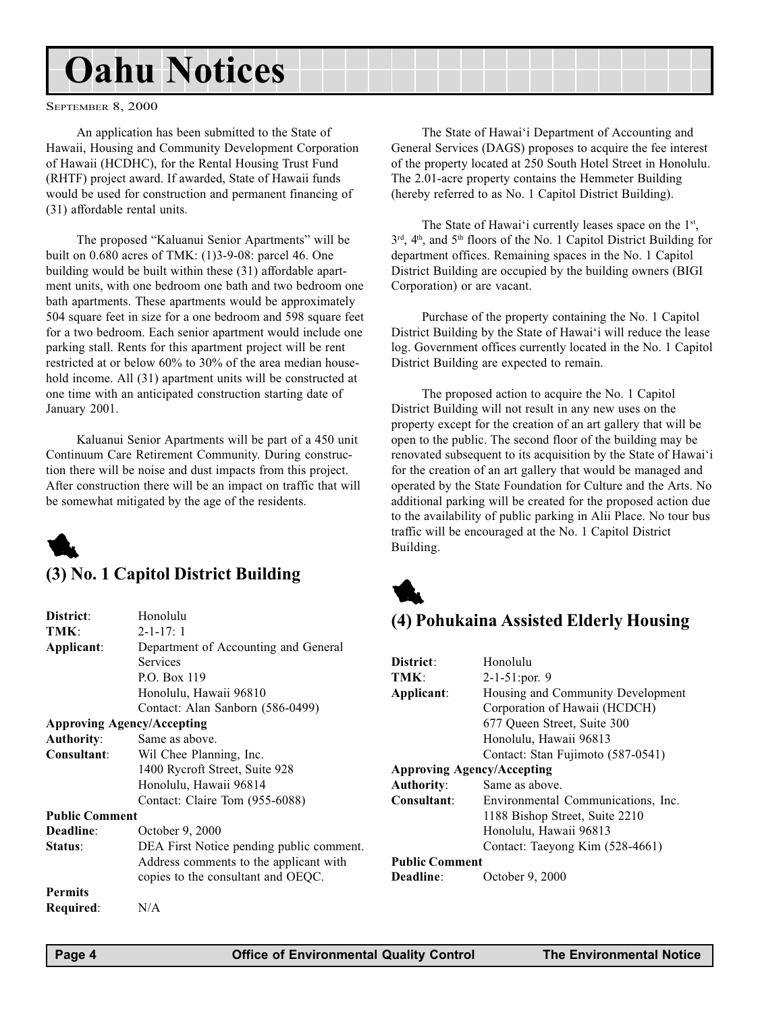# <span id="page-3-0"></span>Oahu Notices

SEPTEMBER 8, 2000

An application has been submitted to the State of Hawaii, Housing and Community Development Corporation of Hawaii (HCDHC), for the Rental Housing Trust Fund (RHTF) project award. If awarded, State of Hawaii funds would be used for construction and permanent financing of (31) affordable rental units.

The proposed "Kaluanui Senior Apartments" will be built on 0.680 acres of TMK: (1)3-9-08: parcel 46. One building would be built within these (31) affordable apartment units, with one bedroom one bath and two bedroom one bath apartments. These apartments would be approximately 504 square feet in size for a one bedroom and 598 square feet for a two bedroom. Each senior apartment would include one parking stall. Rents for this apartment project will be rent restricted at or below 60% to 30% of the area median household income. All (31) apartment units will be constructed at one time with an anticipated construction starting date of January 2001.

Kaluanui Senior Apartments will be part of a 450 unit Continuum Care Retirement Community. During construction there will be noise and dust impacts from this project. After construction there will be an impact on traffic that will be somewhat mitigated by the age of the residents.



## (3) No. 1 Capitol District Building

| District:             | Honolulu                                 | (4) Pohukaina A            |             |
|-----------------------|------------------------------------------|----------------------------|-------------|
| TMK:                  | $2 - 1 - 17:1$                           |                            |             |
| Applicant:            | Department of Accounting and General     |                            |             |
|                       | <b>Services</b>                          | District:                  | Hono        |
|                       | P.O. Box 119                             | TMK:                       | $2 - 1 - 5$ |
|                       | Honolulu, Hawaii 96810                   | Applicant:                 | Housi       |
|                       | Contact: Alan Sanborn (586-0499)         |                            | Corpo       |
|                       | <b>Approving Agency/Accepting</b>        |                            | 677 Q       |
| <b>Authority:</b>     | Same as above.                           |                            | Hono        |
| Consultant:           | Wil Chee Planning, Inc.                  |                            | Conta       |
|                       | 1400 Rycroft Street, Suite 928           | <b>Approving Agency/Ac</b> |             |
|                       | Honolulu, Hawaii 96814                   | <b>Authority:</b>          | Same        |
|                       | Contact: Claire Tom (955-6088)           | Consultant:                | Envir       |
| <b>Public Comment</b> |                                          |                            | 1188        |
| Deadline:             | October 9, 2000                          |                            | Hono        |
| Status:               | DEA First Notice pending public comment. |                            | Conta       |
|                       | Address comments to the applicant with   | <b>Public Comment</b>      |             |
|                       | copies to the consultant and OEQC.       | Deadline:                  | Octob       |
| <b>Permits</b>        |                                          |                            |             |
| Required:             | N/A                                      |                            |             |
|                       |                                          |                            |             |

The State of Hawai'i Department of Accounting and General Services (DAGS) proposes to acquire the fee interest of the property located at 250 South Hotel Street in Honolulu. The 2.01-acre property contains the Hemmeter Building (hereby referred to as No. 1 Capitol District Building).

The State of Hawai'i currently leases space on the  $1<sup>st</sup>$ , 3rd, 4th, and 5th floors of the No. 1 Capitol District Building for department offices. Remaining spaces in the No. 1 Capitol District Building are occupied by the building owners (BIGI Corporation) or are vacant.

Purchase of the property containing the No. 1 Capitol District Building by the State of Hawai'i will reduce the lease log. Government offices currently located in the No. 1 Capitol District Building are expected to remain.

The proposed action to acquire the No. 1 Capitol District Building will not result in any new uses on the property except for the creation of an art gallery that will be open to the public. The second floor of the building may be renovated subsequent to its acquisition by the State of Hawai'i for the creation of an art gallery that would be managed and operated by the State Foundation for Culture and the Arts. No additional parking will be created for the proposed action due to the availability of public parking in Alii Place. No tour bus traffic will be encouraged at the No. 1 Capitol District Building.



# ssisted Elderly Housing

| District:                         | Honolulu                           |
|-----------------------------------|------------------------------------|
| TMK:                              | $2-1-51$ : por. 9                  |
| Applicant:                        | Housing and Community Development  |
|                                   | Corporation of Hawaii (HCDCH)      |
|                                   | 677 Oueen Street, Suite 300        |
|                                   | Honolulu, Hawaii 96813             |
|                                   | Contact: Stan Fujimoto (587-0541)  |
| <b>Approving Agency/Accepting</b> |                                    |
| <b>Authority:</b>                 | Same as above.                     |
| Consultant:                       | Environmental Communications, Inc. |
|                                   | 1188 Bishop Street, Suite 2210     |
|                                   | Honolulu, Hawaii 96813             |
|                                   | Contact: Taeyong Kim (528-4661)    |
| <b>Public Comment</b>             |                                    |
| Deadline:                         | Actober 9-2000                     |

9er 9, 2000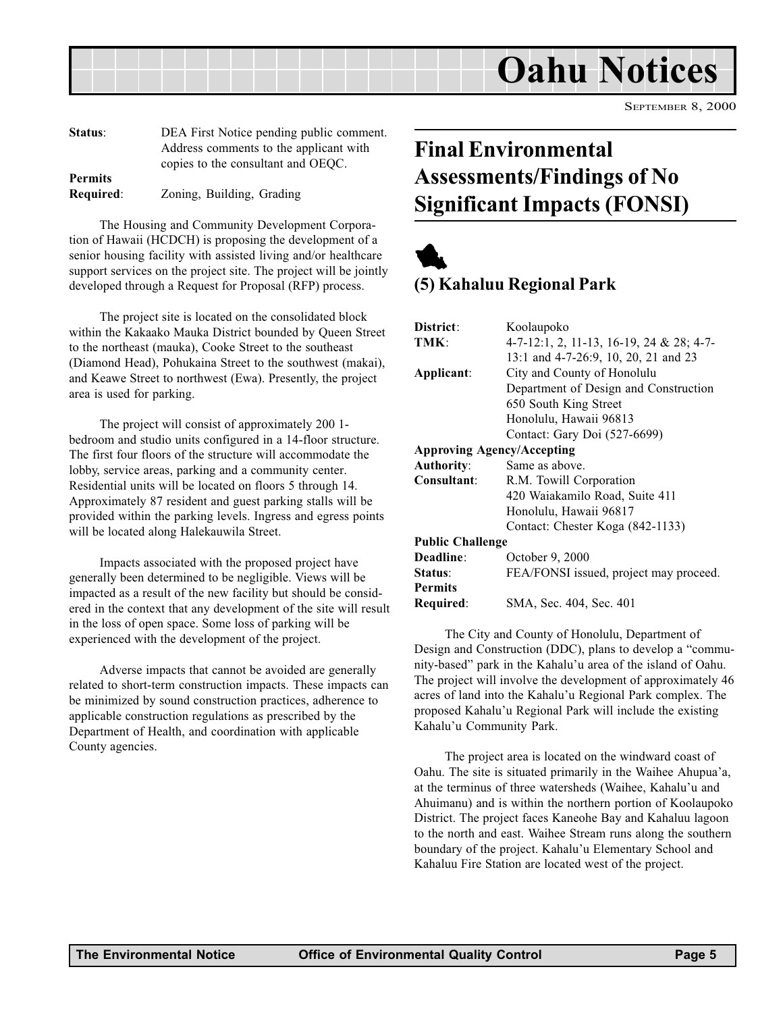<span id="page-4-0"></span>

| Status:          | DEA First Notice pending public comment. |
|------------------|------------------------------------------|
|                  | Address comments to the applicant with   |
|                  | copies to the consultant and OEQC.       |
| <b>Permits</b>   |                                          |
| <b>Required:</b> | Zoning, Building, Grading                |

The Housing and Community Development Corporation of Hawaii (HCDCH) is proposing the development of a senior housing facility with assisted living and/or healthcare support services on the project site. The project will be jointly developed through a Request for Proposal (RFP) process.

The project site is located on the consolidated block within the Kakaako Mauka District bounded by Queen Street to the northeast (mauka), Cooke Street to the southeast (Diamond Head), Pohukaina Street to the southwest (makai), and Keawe Street to northwest (Ewa). Presently, the project area is used for parking.

The project will consist of approximately 200 1 bedroom and studio units configured in a 14-floor structure. The first four floors of the structure will accommodate the lobby, service areas, parking and a community center. Residential units will be located on floors 5 through 14. Approximately 87 resident and guest parking stalls will be provided within the parking levels. Ingress and egress points will be located along Halekauwila Street.

Impacts associated with the proposed project have generally been determined to be negligible. Views will be impacted as a result of the new facility but should be considered in the context that any development of the site will result in the loss of open space. Some loss of parking will be experienced with the development of the project.

Adverse impacts that cannot be avoided are generally related to short-term construction impacts. These impacts can be minimized by sound construction practices, adherence to applicable construction regulations as prescribed by the Department of Health, and coordination with applicable County agencies.

# Final Environmental Assessments/Findings of No Significant Impacts (FONSI)



## (5) Kahaluu Regional Park

| District:                         | Koolaupoko                               |
|-----------------------------------|------------------------------------------|
| TMK:                              | 4-7-12:1, 2, 11-13, 16-19, 24 & 28; 4-7- |
|                                   | 13:1 and 4-7-26:9, 10, 20, 21 and 23     |
| Applicant:                        | City and County of Honolulu              |
|                                   | Department of Design and Construction    |
|                                   | 650 South King Street                    |
|                                   | Honolulu, Hawaii 96813                   |
|                                   | Contact: Gary Doi (527-6699)             |
| <b>Approving Agency/Accepting</b> |                                          |
| <b>Authority:</b>                 | Same as above.                           |
| Consultant:                       | R.M. Towill Corporation                  |
|                                   | 420 Waiakamilo Road, Suite 411           |
|                                   | Honolulu, Hawaii 96817                   |
|                                   | Contact: Chester Koga (842-1133)         |
| <b>Public Challenge</b>           |                                          |
| Deadline:                         | October 9, 2000                          |
| Status:                           | FEA/FONSI issued, project may proceed.   |
| <b>Permits</b>                    |                                          |
| Required:                         | SMA, Sec. 404, Sec. 401                  |
|                                   |                                          |

The City and County of Honolulu, Department of Design and Construction (DDC), plans to develop a "community-based" park in the Kahalu'u area of the island of Oahu. The project will involve the development of approximately 46 acres of land into the Kahalu'u Regional Park complex. The proposed Kahalu'u Regional Park will include the existing Kahalu'u Community Park.

The project area is located on the windward coast of Oahu. The site is situated primarily in the Waihee Ahupua'a, at the terminus of three watersheds (Waihee, Kahalu'u and Ahuimanu) and is within the northern portion of Koolaupoko District. The project faces Kaneohe Bay and Kahaluu lagoon to the north and east. Waihee Stream runs along the southern boundary of the project. Kahalu'u Elementary School and Kahaluu Fire Station are located west of the project.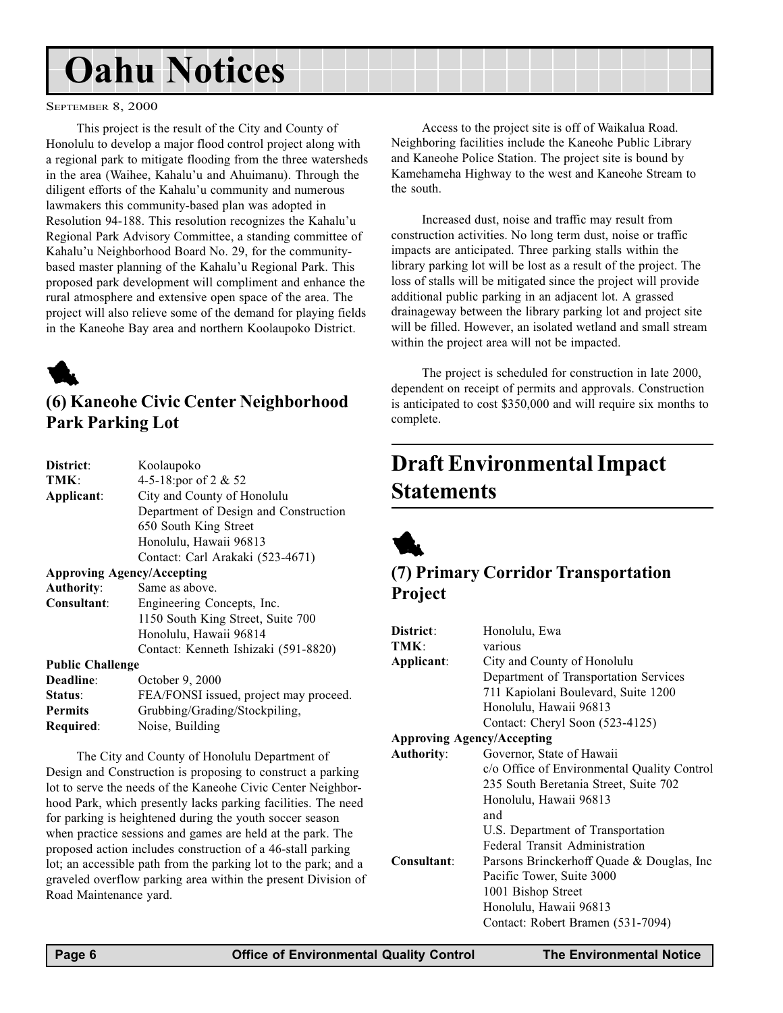# <span id="page-5-0"></span>Oahu Notices

#### SEPTEMBER 8, 2000

This project is the result of the City and County of Honolulu to develop a major flood control project along with a regional park to mitigate flooding from the three watersheds in the area (Waihee, Kahalu'u and Ahuimanu). Through the diligent efforts of the Kahalu'u community and numerous lawmakers this community-based plan was adopted in Resolution 94-188. This resolution recognizes the Kahalu'u Regional Park Advisory Committee, a standing committee of Kahalu'u Neighborhood Board No. 29, for the communitybased master planning of the Kahalu'u Regional Park. This proposed park development will compliment and enhance the rural atmosphere and extensive open space of the area. The project will also relieve some of the demand for playing fields in the Kaneohe Bay area and northern Koolaupoko District.



## (6) Kaneohe Civic Center Neighborhood Park Parking Lot

| District:                         | Koolaupoko                             |  |
|-----------------------------------|----------------------------------------|--|
| TMK:                              |                                        |  |
|                                   | 4-5-18:por of 2 & 52                   |  |
| Applicant:                        | City and County of Honolulu            |  |
|                                   | Department of Design and Construction  |  |
|                                   | 650 South King Street                  |  |
|                                   | Honolulu, Hawaii 96813                 |  |
|                                   | Contact: Carl Arakaki (523-4671)       |  |
| <b>Approving Agency/Accepting</b> |                                        |  |
| <b>Authority:</b>                 | Same as above.                         |  |
| Consultant:                       | Engineering Concepts, Inc.             |  |
|                                   | 1150 South King Street, Suite 700      |  |
|                                   | Honolulu, Hawaii 96814                 |  |
|                                   | Contact: Kenneth Ishizaki (591-8820)   |  |
| <b>Public Challenge</b>           |                                        |  |
| Deadline:                         | October 9, 2000                        |  |
| Status:                           | FEA/FONSI issued, project may proceed. |  |
| <b>Permits</b>                    | Grubbing/Grading/Stockpiling,          |  |
| Required:                         | Noise, Building                        |  |
|                                   |                                        |  |

The City and County of Honolulu Department of Design and Construction is proposing to construct a parking lot to serve the needs of the Kaneohe Civic Center Neighborhood Park, which presently lacks parking facilities. The need for parking is heightened during the youth soccer season when practice sessions and games are held at the park. The proposed action includes construction of a 46-stall parking lot; an accessible path from the parking lot to the park; and a graveled overflow parking area within the present Division of Road Maintenance yard.

Access to the project site is off of Waikalua Road. Neighboring facilities include the Kaneohe Public Library and Kaneohe Police Station. The project site is bound by Kamehameha Highway to the west and Kaneohe Stream to the south.

Increased dust, noise and traffic may result from construction activities. No long term dust, noise or traffic impacts are anticipated. Three parking stalls within the library parking lot will be lost as a result of the project. The loss of stalls will be mitigated since the project will provide additional public parking in an adjacent lot. A grassed drainageway between the library parking lot and project site will be filled. However, an isolated wetland and small stream within the project area will not be impacted.

The project is scheduled for construction in late 2000, dependent on receipt of permits and approvals. Construction is anticipated to cost \$350,000 and will require six months to complete.

# Draft Environmental Impact **Statements**



## (7) Primary Corridor Transportation Project

| District:<br>TMK:<br>Applicant:   | Honolulu, Ewa<br>various<br>City and County of Honolulu<br>Department of Transportation Services |
|-----------------------------------|--------------------------------------------------------------------------------------------------|
|                                   | 711 Kapiolani Boulevard, Suite 1200                                                              |
|                                   | Honolulu, Hawaii 96813                                                                           |
|                                   | Contact: Cheryl Soon (523-4125)                                                                  |
| <b>Approving Agency/Accepting</b> |                                                                                                  |
| <b>Authority:</b>                 | Governor, State of Hawaii                                                                        |
|                                   | c/o Office of Environmental Quality Control                                                      |
|                                   | 235 South Beretania Street, Suite 702                                                            |
|                                   | Honolulu, Hawaii 96813                                                                           |
|                                   | and                                                                                              |
|                                   | U.S. Department of Transportation                                                                |
|                                   | Federal Transit Administration                                                                   |
| Consultant:                       | Parsons Brinckerhoff Quade & Douglas, Inc.                                                       |
|                                   | Pacific Tower, Suite 3000                                                                        |
|                                   | 1001 Bishop Street                                                                               |
|                                   | Honolulu, Hawaii 96813                                                                           |
|                                   | Contact: Robert Bramen (531-7094)                                                                |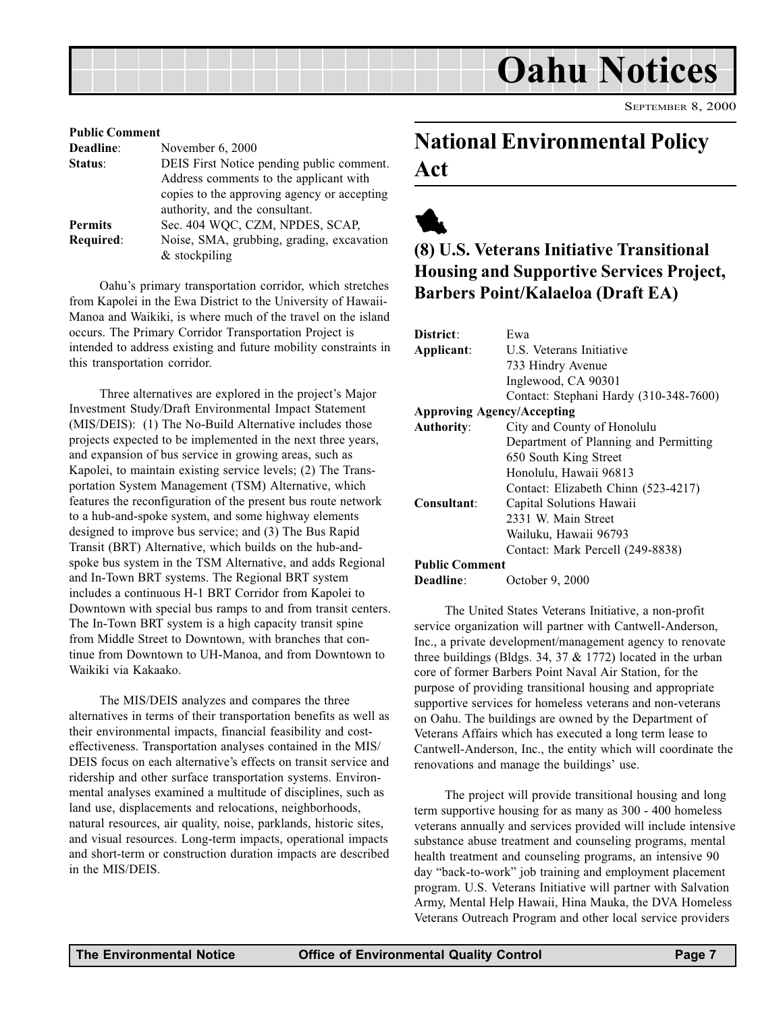<span id="page-6-0"></span>

| <b>Public Comment</b>                       |  |  |
|---------------------------------------------|--|--|
| November 6, 2000                            |  |  |
| DEIS First Notice pending public comment.   |  |  |
| Address comments to the applicant with      |  |  |
| copies to the approving agency or accepting |  |  |
| authority, and the consultant.              |  |  |
| Sec. 404 WQC, CZM, NPDES, SCAP,             |  |  |
| Noise, SMA, grubbing, grading, excavation   |  |  |
| $&$ stockpiling                             |  |  |
|                                             |  |  |

Oahu's primary transportation corridor, which stretches from Kapolei in the Ewa District to the University of Hawaii-Manoa and Waikiki, is where much of the travel on the island occurs. The Primary Corridor Transportation Project is intended to address existing and future mobility constraints in this transportation corridor.

Three alternatives are explored in the project's Major Investment Study/Draft Environmental Impact Statement (MIS/DEIS): (1) The No-Build Alternative includes those projects expected to be implemented in the next three years, and expansion of bus service in growing areas, such as Kapolei, to maintain existing service levels; (2) The Transportation System Management (TSM) Alternative, which features the reconfiguration of the present bus route network to a hub-and-spoke system, and some highway elements designed to improve bus service; and (3) The Bus Rapid Transit (BRT) Alternative, which builds on the hub-andspoke bus system in the TSM Alternative, and adds Regional and In-Town BRT systems. The Regional BRT system includes a continuous H-1 BRT Corridor from Kapolei to Downtown with special bus ramps to and from transit centers. The In-Town BRT system is a high capacity transit spine from Middle Street to Downtown, with branches that continue from Downtown to UH-Manoa, and from Downtown to Waikiki via Kakaako.

The MIS/DEIS analyzes and compares the three alternatives in terms of their transportation benefits as well as their environmental impacts, financial feasibility and costeffectiveness. Transportation analyses contained in the MIS/ DEIS focus on each alternative's effects on transit service and ridership and other surface transportation systems. Environmental analyses examined a multitude of disciplines, such as land use, displacements and relocations, neighborhoods, natural resources, air quality, noise, parklands, historic sites, and visual resources. Long-term impacts, operational impacts and short-term or construction duration impacts are described in the MIS/DEIS.

# National Environmental Policy Act



# (8) U.S. Veterans Initiative Transitional Housing and Supportive Services Project, Barbers Point/Kalaeloa (Draft EA)

| District:                         | Ewa                                    |
|-----------------------------------|----------------------------------------|
| Applicant:                        | U.S. Veterans Initiative               |
|                                   | 733 Hindry Avenue                      |
|                                   | Inglewood, CA 90301                    |
|                                   | Contact: Stephani Hardy (310-348-7600) |
| <b>Approving Agency/Accepting</b> |                                        |
| <b>Authority:</b>                 | City and County of Honolulu            |
|                                   | Department of Planning and Permitting  |
|                                   | 650 South King Street                  |
|                                   | Honolulu, Hawaii 96813                 |
|                                   | Contact: Elizabeth Chinn (523-4217)    |
| Consultant:                       | Capital Solutions Hawaii               |
|                                   | 2331 W. Main Street                    |
|                                   | Wailuku, Hawaii 96793                  |
|                                   | Contact: Mark Percell (249-8838)       |
| <b>Public Comment</b>             |                                        |
| Deadline:                         | October 9, 2000                        |

The United States Veterans Initiative, a non-profit service organization will partner with Cantwell-Anderson, Inc., a private development/management agency to renovate three buildings (Bldgs. 34, 37  $& 1772$ ) located in the urban core of former Barbers Point Naval Air Station, for the purpose of providing transitional housing and appropriate supportive services for homeless veterans and non-veterans on Oahu. The buildings are owned by the Department of Veterans Affairs which has executed a long term lease to Cantwell-Anderson, Inc., the entity which will coordinate the renovations and manage the buildings' use.

The project will provide transitional housing and long term supportive housing for as many as 300 - 400 homeless veterans annually and services provided will include intensive substance abuse treatment and counseling programs, mental health treatment and counseling programs, an intensive 90 day "back-to-work" job training and employment placement program. U.S. Veterans Initiative will partner with Salvation Army, Mental Help Hawaii, Hina Mauka, the DVA Homeless Veterans Outreach Program and other local service providers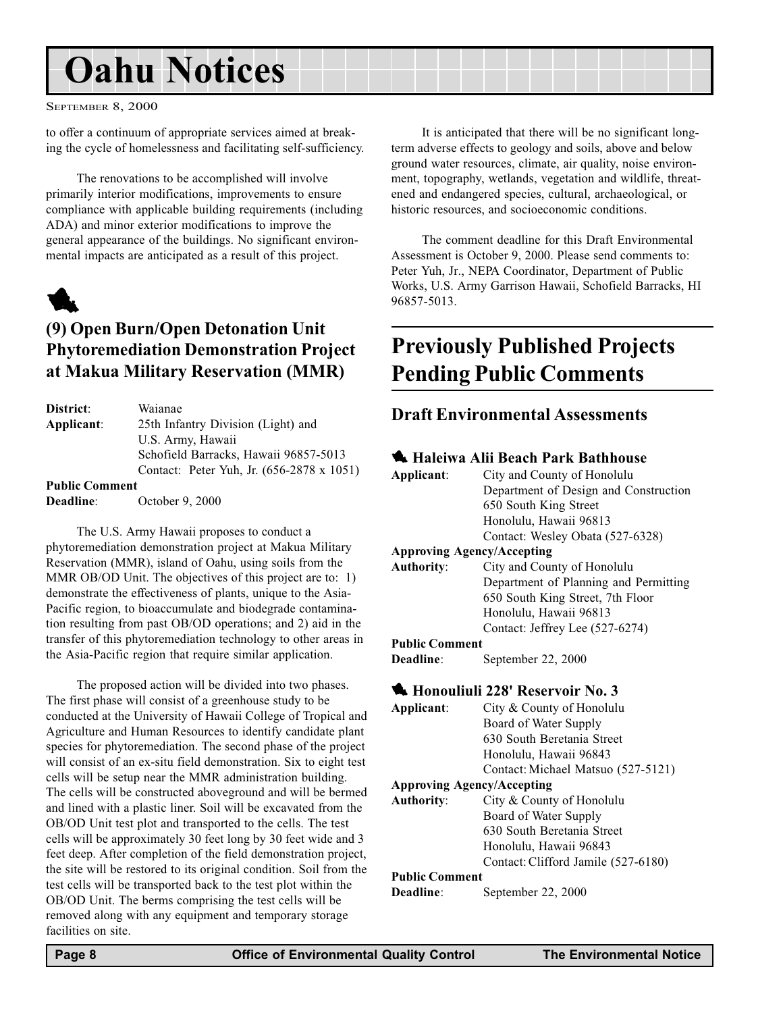# <span id="page-7-0"></span>Oahu Notices

#### SEPTEMBER 8, 2000

to offer a continuum of appropriate services aimed at breaking the cycle of homelessness and facilitating self-sufficiency.

The renovations to be accomplished will involve primarily interior modifications, improvements to ensure compliance with applicable building requirements (including ADA) and minor exterior modifications to improve the general appearance of the buildings. No significant environmental impacts are anticipated as a result of this project.



# (9) Open Burn/Open Detonation Unit Phytoremediation Demonstration Project at Makua Military Reservation (MMR)

| District:             | Waianae                                   |
|-----------------------|-------------------------------------------|
| Applicant:            | 25th Infantry Division (Light) and        |
|                       | U.S. Army, Hawaii                         |
|                       | Schofield Barracks, Hawaii 96857-5013     |
|                       | Contact: Peter Yuh, Jr. (656-2878 x 1051) |
| <b>Public Comment</b> |                                           |
| Deadline:             | October 9, 2000                           |

The U.S. Army Hawaii proposes to conduct a phytoremediation demonstration project at Makua Military Reservation (MMR), island of Oahu, using soils from the MMR OB/OD Unit. The objectives of this project are to: 1) demonstrate the effectiveness of plants, unique to the Asia-Pacific region, to bioaccumulate and biodegrade contamination resulting from past OB/OD operations; and 2) aid in the transfer of this phytoremediation technology to other areas in the Asia-Pacific region that require similar application.

The proposed action will be divided into two phases. The first phase will consist of a greenhouse study to be conducted at the University of Hawaii College of Tropical and Agriculture and Human Resources to identify candidate plant species for phytoremediation. The second phase of the project will consist of an ex-situ field demonstration. Six to eight test cells will be setup near the MMR administration building. The cells will be constructed aboveground and will be bermed and lined with a plastic liner. Soil will be excavated from the OB/OD Unit test plot and transported to the cells. The test cells will be approximately 30 feet long by 30 feet wide and 3 feet deep. After completion of the field demonstration project, the site will be restored to its original condition. Soil from the test cells will be transported back to the test plot within the OB/OD Unit. The berms comprising the test cells will be removed along with any equipment and temporary storage facilities on site.

It is anticipated that there will be no significant longterm adverse effects to geology and soils, above and below ground water resources, climate, air quality, noise environment, topography, wetlands, vegetation and wildlife, threatened and endangered species, cultural, archaeological, or historic resources, and socioeconomic conditions.

The comment deadline for this Draft Environmental Assessment is October 9, 2000. Please send comments to: Peter Yuh, Jr., NEPA Coordinator, Department of Public Works, U.S. Army Garrison Hawaii, Schofield Barracks, HI 96857-5013.

# Previously Published Projects Pending Public Comments

### Draft Environmental Assessments

#### **4 Haleiwa Alii Beach Park Bathhouse**

| Applicant:                                | City and County of Honolulu           |  |
|-------------------------------------------|---------------------------------------|--|
|                                           | Department of Design and Construction |  |
|                                           | 650 South King Street                 |  |
|                                           | Honolulu, Hawaii 96813                |  |
|                                           | Contact: Wesley Obata (527-6328)      |  |
|                                           | <b>Approving Agency/Accepting</b>     |  |
| <b>Authority:</b>                         | City and County of Honolulu           |  |
|                                           | Department of Planning and Permitting |  |
|                                           | 650 South King Street, 7th Floor      |  |
|                                           | Honolulu, Hawaii 96813                |  |
|                                           | Contact: Jeffrey Lee (527-6274)       |  |
| <b>Public Comment</b>                     |                                       |  |
| Deadline:                                 | September 22, 2000                    |  |
| <b>K.</b> Honouliuli 228' Reservoir No. 3 |                                       |  |
| Applicant:                                | City & County of Honolulu             |  |
|                                           | Board of Water Supply                 |  |
|                                           | 630 South Beretania Street            |  |
|                                           | Honolulu, Hawaii 96843                |  |
|                                           | Contact: Michael Matsuo (527-5121)    |  |
| <b>Approving Agency/Accepting</b>         |                                       |  |
|                                           |                                       |  |

#### Board of Water Supply 630 South Beretania Street Honolulu, Hawaii 96843 Contact: Clifford Jamile (527-6180)

#### Public Comment

Deadline: September 22, 2000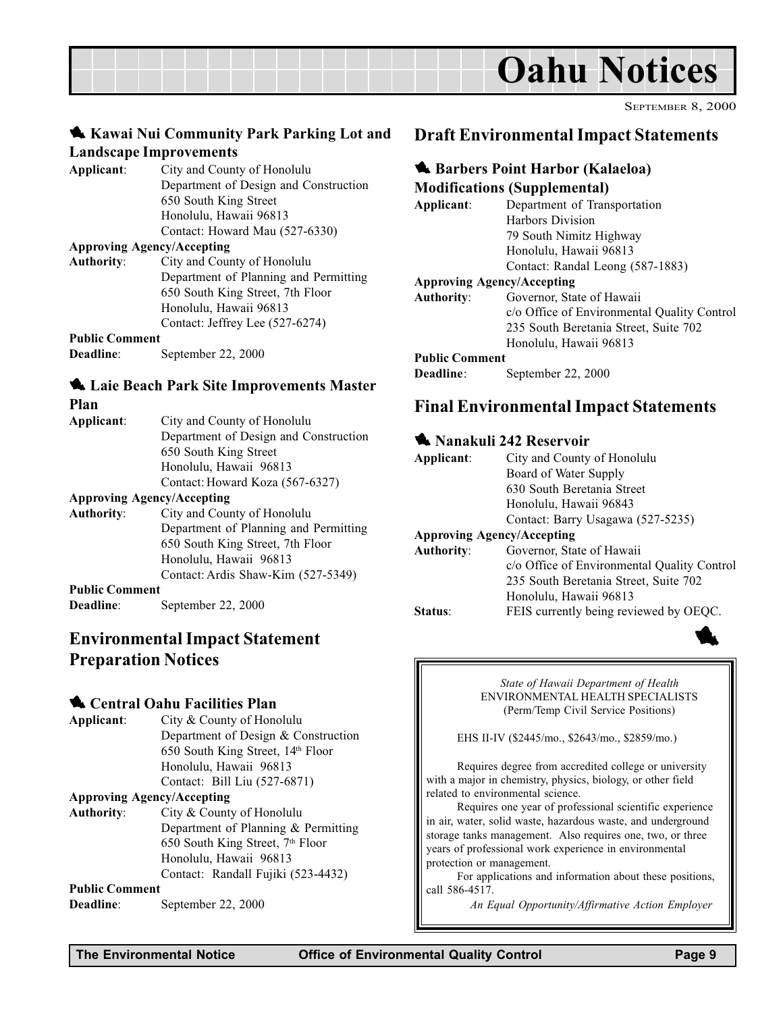<span id="page-8-0"></span>

### **Kawai Nui Community Park Parking Lot and** Landscape Improvements

Applicant: City and County of Honolulu Department of Design and Construction 650 South King Street Honolulu, Hawaii 96813 Contact: Howard Mau (527-6330)

#### Approving Agency/Accepting

Authority: City and County of Honolulu Department of Planning and Permitting 650 South King Street, 7th Floor Honolulu, Hawaii 96813 Contact: Jeffrey Lee (527-6274)

#### Public Comment

Deadline: September 22, 2000

#### **1.** Laie Beach Park Site Improvements Master Plan

| Applicant: | City and County of Honolulu           |
|------------|---------------------------------------|
|            | Department of Design and Construction |
|            | 650 South King Street                 |
|            | Honolulu, Hawaii 96813                |
|            | Contact: Howard Koza (567-6327)       |
|            |                                       |

#### Approving Agency/Accepting

- Authority: City and County of Honolulu Department of Planning and Permitting 650 South King Street, 7th Floor Honolulu, Hawaii 96813 Contact: Ardis Shaw-Kim (527-5349)
- Public Comment
- Deadline: September 22, 2000

### Environmental Impact Statement Preparation Notices

#### **4** Central Oahu Facilities Plan

Applicant: City & County of Honolulu Department of Design & Construction 650 South King Street, 14th Floor Honolulu, Hawaii 96813 Contact: Bill Liu (527-6871)

#### Approving Agency/Accepting

Authority: City & County of Honolulu Department of Planning & Permitting 650 South King Street, 7<sup>th</sup> Floor Honolulu, Hawaii 96813 Contact: Randall Fujiki (523-4432)

Public Comment

Deadline: September 22, 2000

### Draft Environmental Impact Statements

### **4. Barbers Point Harbor (Kalaeloa)**

#### Modifications (Supplemental)

| Applicant:        | Department of Transportation                |
|-------------------|---------------------------------------------|
|                   | Harbors Division                            |
|                   | 79 South Nimitz Highway                     |
|                   | Honolulu, Hawaii 96813                      |
|                   | Contact: Randal Leong (587-1883)            |
|                   | <b>Approving Agency/Accepting</b>           |
| <b>Authority:</b> | Governor, State of Hawaii                   |
|                   | c/o Office of Environmental Quality Control |
|                   | 235 South Beretania Street, Suite 702       |
|                   | Honolulu, Hawaii 96813                      |
|                   |                                             |

#### Public Comment

Deadline: September 22, 2000

### Final Environmental Impact Statements

#### **1 Nanakuli 242 Reservoir**

| Applicant:        | City and County of Honolulu                 |
|-------------------|---------------------------------------------|
|                   | Board of Water Supply                       |
|                   | 630 South Beretania Street                  |
|                   | Honolulu, Hawaii 96843                      |
|                   | Contact: Barry Usagawa (527-5235)           |
|                   | <b>Approving Agency/Accepting</b>           |
| <b>Authority:</b> | Governor, State of Hawaii                   |
|                   | c/o Office of Environmental Quality Control |
|                   | 235 South Beretania Street, Suite 702       |
|                   | Honolulu, Hawaii 96813                      |
| Status:           | FEIS currently being reviewed by OEQC.      |
|                   |                                             |



State of Hawaii Department of Health ENVIRONMENTAL HEALTH SPECIALISTS (Perm/Temp Civil Service Positions)

EHS II-IV (\$2445/mo., \$2643/mo., \$2859/mo.)

Requires degree from accredited college or university with a major in chemistry, physics, biology, or other field related to environmental science.

Requires one year of professional scientific experience in air, water, solid waste, hazardous waste, and underground storage tanks management. Also requires one, two, or three years of professional work experience in environmental protection or management.

For applications and information about these positions, call 586-4517.

An Equal Opportunity/Affirmative Action Employer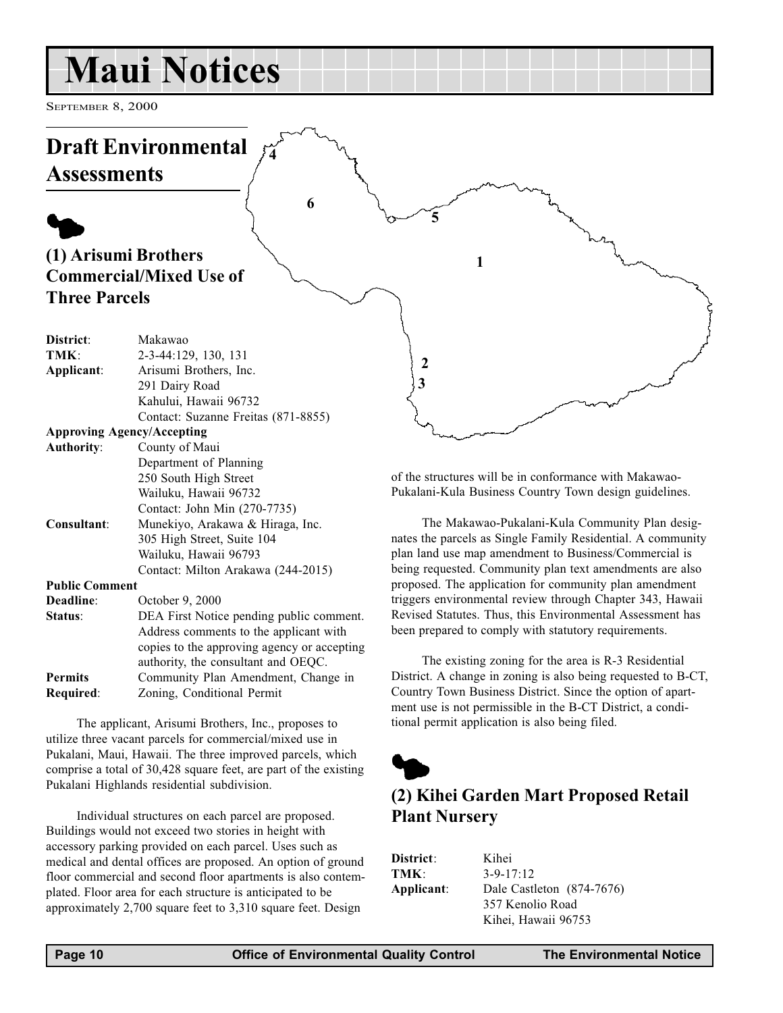# <span id="page-9-0"></span>Maui Notices

SEPTEMBER 8, 2000



of the structures will be in conformance with Makawao-Pukalani-Kula Business Country Town design guidelines.

The Makawao-Pukalani-Kula Community Plan designates the parcels as Single Family Residential. A community plan land use map amendment to Business/Commercial is being requested. Community plan text amendments are also proposed. The application for community plan amendment triggers environmental review through Chapter 343, Hawaii Revised Statutes. Thus, this Environmental Assessment has been prepared to comply with statutory requirements.

The existing zoning for the area is R-3 Residential District. A change in zoning is also being requested to B-CT, Country Town Business District. Since the option of apartment use is not permissible in the B-CT District, a conditional permit application is also being filed.



# (2) Kihei Garden Mart Proposed Retail Plant Nursery

District: Kihei TMK: 3-9-17:12 Applicant: Dale Castleton (874-7676) 357 Kenolio Road Kihei, Hawaii 96753

250 South High Street Wailuku, Hawaii 96732 Contact: John Min (270-7735) Consultant: Munekiyo, Arakawa & Hiraga, Inc. 305 High Street, Suite 104 Wailuku, Hawaii 96793 Contact: Milton Arakawa (244-2015) Public Comment Deadline: October 9, 2000 Status: DEA First Notice pending public comment. Address comments to the applicant with copies to the approving agency or accepting authority, the consultant and OEQC. Permits Community Plan Amendment, Change in

Required: Zoning, Conditional Permit

The applicant, Arisumi Brothers, Inc., proposes to utilize three vacant parcels for commercial/mixed use in Pukalani, Maui, Hawaii. The three improved parcels, which comprise a total of 30,428 square feet, are part of the existing Pukalani Highlands residential subdivision.

Individual structures on each parcel are proposed. Buildings would not exceed two stories in height with accessory parking provided on each parcel. Uses such as medical and dental offices are proposed. An option of ground floor commercial and second floor apartments is also contemplated. Floor area for each structure is anticipated to be approximately 2,700 square feet to 3,310 square feet. Design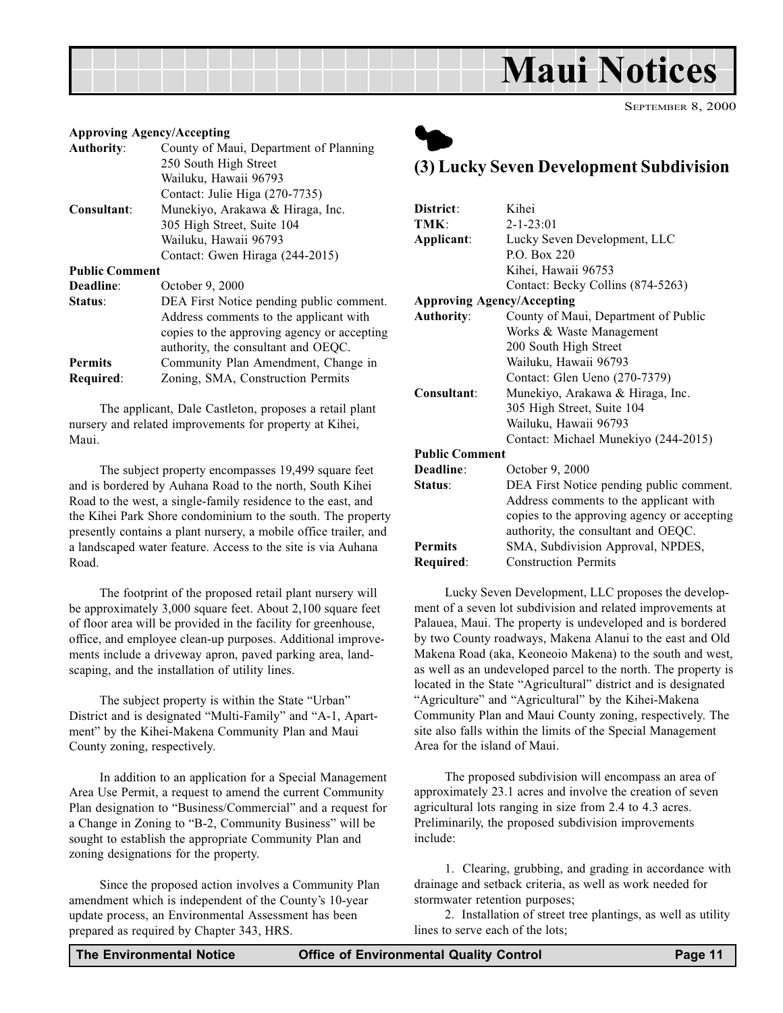<span id="page-10-0"></span>

#### Approving Agency/Accepting

| <b>Authority:</b>     | County of Maui, Department of Planning      |
|-----------------------|---------------------------------------------|
|                       | 250 South High Street                       |
|                       | Wailuku, Hawaii 96793                       |
|                       | Contact: Julie Higa (270-7735)              |
| Consultant:           | Munekiyo, Arakawa & Hiraga, Inc.            |
|                       | 305 High Street, Suite 104                  |
|                       | Wailuku, Hawaii 96793                       |
|                       | Contact: Gwen Hiraga (244-2015)             |
| <b>Public Comment</b> |                                             |
| Deadline:             | October 9, 2000                             |
| Status:               | DEA First Notice pending public comment.    |
|                       | Address comments to the applicant with      |
|                       | copies to the approving agency or accepting |
|                       | authority, the consultant and OEQC.         |
| <b>Permits</b>        | Community Plan Amendment, Change in         |
| Required:             | Zoning, SMA, Construction Permits           |
|                       |                                             |

The applicant, Dale Castleton, proposes a retail plant nursery and related improvements for property at Kihei, Maui.

The subject property encompasses 19,499 square feet and is bordered by Auhana Road to the north, South Kihei Road to the west, a single-family residence to the east, and the Kihei Park Shore condominium to the south. The property presently contains a plant nursery, a mobile office trailer, and a landscaped water feature. Access to the site is via Auhana Road.

The footprint of the proposed retail plant nursery will be approximately 3,000 square feet. About 2,100 square feet of floor area will be provided in the facility for greenhouse, office, and employee clean-up purposes. Additional improvements include a driveway apron, paved parking area, landscaping, and the installation of utility lines.

The subject property is within the State "Urban" District and is designated "Multi-Family" and "A-1, Apartment" by the Kihei-Makena Community Plan and Maui County zoning, respectively.

In addition to an application for a Special Management Area Use Permit, a request to amend the current Community Plan designation to "Business/Commercial" and a request for a Change in Zoning to "B-2, Community Business" will be sought to establish the appropriate Community Plan and zoning designations for the property.

Since the proposed action involves a Community Plan amendment which is independent of the County's 10-year update process, an Environmental Assessment has been prepared as required by Chapter 343, HRS.



## (3) Lucky Seven Development Subdivision

| District:                         | Kihei                                       |
|-----------------------------------|---------------------------------------------|
| TMK:                              | $2 - 1 - 23:01$                             |
| Applicant:                        | Lucky Seven Development, LLC                |
|                                   | P.O. Box 220                                |
|                                   | Kihei, Hawaii 96753                         |
|                                   |                                             |
|                                   | Contact: Becky Collins (874-5263)           |
| <b>Approving Agency/Accepting</b> |                                             |
| <b>Authority:</b>                 | County of Maui, Department of Public        |
|                                   | Works & Waste Management                    |
|                                   | 200 South High Street                       |
|                                   | Wailuku, Hawaii 96793                       |
|                                   | Contact: Glen Ueno (270-7379)               |
| Consultant:                       | Munekiyo, Arakawa & Hiraga, Inc.            |
|                                   | 305 High Street, Suite 104                  |
|                                   | Wailuku, Hawaii 96793                       |
|                                   | Contact: Michael Munekiyo (244-2015)        |
| <b>Public Comment</b>             |                                             |
| Deadline:                         | October 9, 2000                             |
| Status:                           | DEA First Notice pending public comment.    |
|                                   | Address comments to the applicant with      |
|                                   | copies to the approving agency or accepting |
|                                   | authority, the consultant and OEQC.         |
| <b>Permits</b>                    | SMA, Subdivision Approval, NPDES,           |
|                                   |                                             |
| Required:                         | <b>Construction Permits</b>                 |

Lucky Seven Development, LLC proposes the development of a seven lot subdivision and related improvements at Palauea, Maui. The property is undeveloped and is bordered by two County roadways, Makena Alanui to the east and Old Makena Road (aka, Keoneoio Makena) to the south and west, as well as an undeveloped parcel to the north. The property is located in the State "Agricultural" district and is designated "Agriculture" and "Agricultural" by the Kihei-Makena Community Plan and Maui County zoning, respectively. The site also falls within the limits of the Special Management Area for the island of Maui.

The proposed subdivision will encompass an area of approximately 23.1 acres and involve the creation of seven agricultural lots ranging in size from 2.4 to 4.3 acres. Preliminarily, the proposed subdivision improvements include:

1. Clearing, grubbing, and grading in accordance with drainage and setback criteria, as well as work needed for stormwater retention purposes;

2. Installation of street tree plantings, as well as utility lines to serve each of the lots;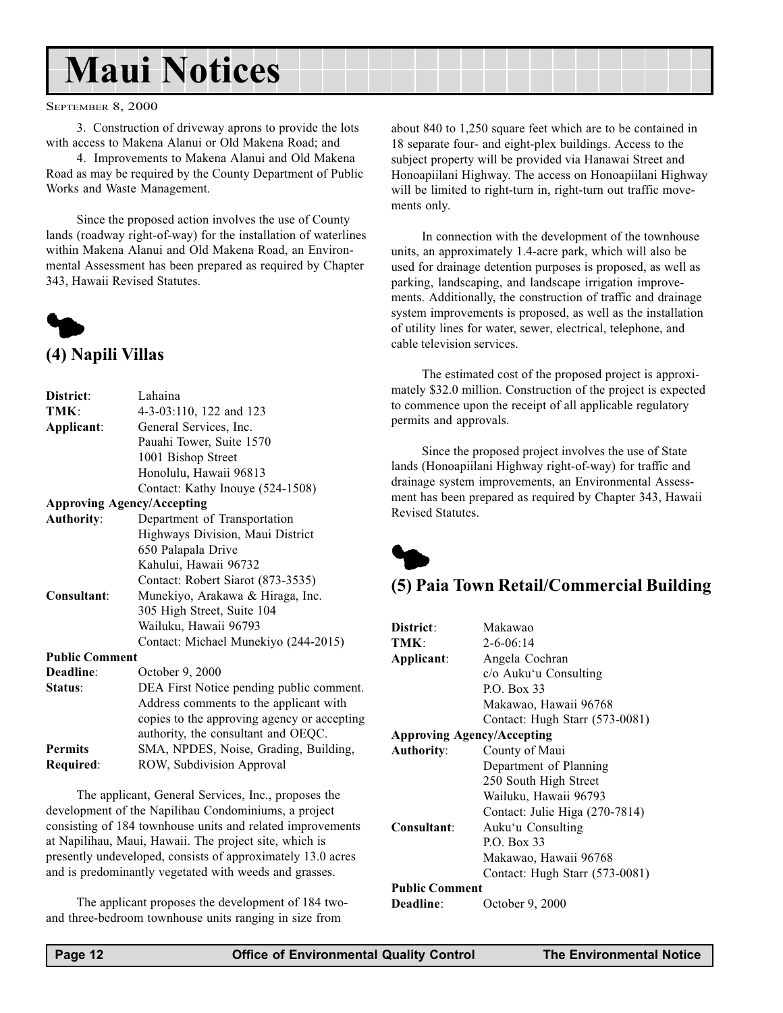# <span id="page-11-0"></span>Maui Notices

#### SEPTEMBER 8, 2000

3. Construction of driveway aprons to provide the lots with access to Makena Alanui or Old Makena Road; and

4. Improvements to Makena Alanui and Old Makena Road as may be required by the County Department of Public Works and Waste Management.

Since the proposed action involves the use of County lands (roadway right-of-way) for the installation of waterlines within Makena Alanui and Old Makena Road, an Environmental Assessment has been prepared as required by Chapter 343, Hawaii Revised Statutes.



# District: Lahaina

| еананна                                     |
|---------------------------------------------|
| 4-3-03:110, 122 and 123                     |
| General Services, Inc.                      |
| Pauahi Tower, Suite 1570                    |
| 1001 Bishop Street                          |
| Honolulu, Hawaii 96813                      |
| Contact: Kathy Inouye (524-1508)            |
| <b>Approving Agency/Accepting</b>           |
| Department of Transportation                |
| Highways Division, Maui District            |
| 650 Palapala Drive                          |
| Kahului, Hawaii 96732                       |
| Contact: Robert Siarot (873-3535)           |
| Munekiyo, Arakawa & Hiraga, Inc.            |
| 305 High Street, Suite 104                  |
| Wailuku, Hawaii 96793                       |
| Contact: Michael Munekiyo (244-2015)        |
| <b>Public Comment</b>                       |
| October 9, 2000                             |
| DEA First Notice pending public comment.    |
| Address comments to the applicant with      |
| copies to the approving agency or accepting |
| authority, the consultant and OEQC.         |
| SMA, NPDES, Noise, Grading, Building,       |
| ROW, Subdivision Approval                   |
|                                             |

The applicant, General Services, Inc., proposes the development of the Napilihau Condominiums, a project consisting of 184 townhouse units and related improvements at Napilihau, Maui, Hawaii. The project site, which is presently undeveloped, consists of approximately 13.0 acres and is predominantly vegetated with weeds and grasses.

The applicant proposes the development of 184 twoand three-bedroom townhouse units ranging in size from

about 840 to 1,250 square feet which are to be contained in 18 separate four- and eight-plex buildings. Access to the subject property will be provided via Hanawai Street and Honoapiilani Highway. The access on Honoapiilani Highway will be limited to right-turn in, right-turn out traffic movements only.

In connection with the development of the townhouse units, an approximately 1.4-acre park, which will also be used for drainage detention purposes is proposed, as well as parking, landscaping, and landscape irrigation improvements. Additionally, the construction of traffic and drainage system improvements is proposed, as well as the installation of utility lines for water, sewer, electrical, telephone, and cable television services.

The estimated cost of the proposed project is approximately \$32.0 million. Construction of the project is expected to commence upon the receipt of all applicable regulatory permits and approvals.

Since the proposed project involves the use of State lands (Honoapiilani Highway right-of-way) for traffic and drainage system improvements, an Environmental Assessment has been prepared as required by Chapter 343, Hawaii Revised Statutes.



# (5) Paia Town Retail/Commercial Building

| District:<br>TMK:<br>Applicant:   | Makawao<br>$2 - 6 - 06:14$<br>Angela Cochran<br>c/o Auku'u Consulting |
|-----------------------------------|-----------------------------------------------------------------------|
|                                   | $P_{Q}$ . Box 33<br>Makawao, Hawaii 96768                             |
|                                   | Contact: Hugh Starr (573-0081)                                        |
| <b>Approving Agency/Accepting</b> |                                                                       |
| <b>Authority:</b>                 | County of Maui                                                        |
|                                   | Department of Planning                                                |
|                                   | 250 South High Street                                                 |
|                                   | Wailuku, Hawaii 96793                                                 |
|                                   | Contact: Julie Higa (270-7814)                                        |
| Consultant:                       | Auku'u Consulting                                                     |
|                                   | $P_{Q}$ . Box 33                                                      |
|                                   | Makawao, Hawaii 96768                                                 |
|                                   | Contact: Hugh Starr (573-0081)                                        |
| <b>Public Comment</b>             |                                                                       |
| Deadline:                         | October 9, 2000                                                       |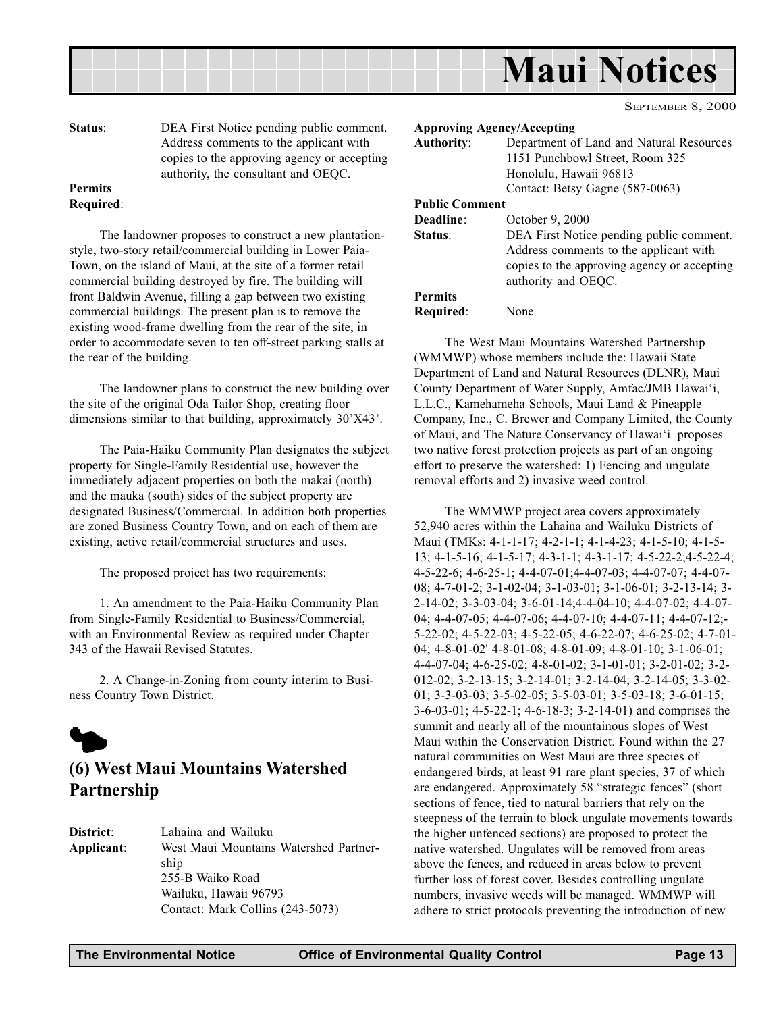<span id="page-12-0"></span>

SEPTEMBER 8, 2000

Status: DEA First Notice pending public comment. Address comments to the applicant with copies to the approving agency or accepting authority, the consultant and OEQC.

#### Permits Required:

The landowner proposes to construct a new plantationstyle, two-story retail/commercial building in Lower Paia-Town, on the island of Maui, at the site of a former retail commercial building destroyed by fire. The building will front Baldwin Avenue, filling a gap between two existing commercial buildings. The present plan is to remove the existing wood-frame dwelling from the rear of the site, in order to accommodate seven to ten off-street parking stalls at the rear of the building.

The landowner plans to construct the new building over the site of the original Oda Tailor Shop, creating floor dimensions similar to that building, approximately 30'X43'.

The Paia-Haiku Community Plan designates the subject property for Single-Family Residential use, however the immediately adjacent properties on both the makai (north) and the mauka (south) sides of the subject property are designated Business/Commercial. In addition both properties are zoned Business Country Town, and on each of them are existing, active retail/commercial structures and uses.

The proposed project has two requirements:

1. An amendment to the Paia-Haiku Community Plan from Single-Family Residential to Business/Commercial, with an Environmental Review as required under Chapter 343 of the Hawaii Revised Statutes.

2. A Change-in-Zoning from county interim to Business Country Town District.



# (6) West Maui Mountains Watershed Partnership

| District:  | Lahaina and Wailuku                    |
|------------|----------------------------------------|
| Applicant: | West Maui Mountains Watershed Partner- |
|            | ship                                   |
|            | 255-B Waiko Road                       |
|            | Wailuku, Hawaii 96793                  |
|            | Contact: Mark Collins (243-5073)       |

Approving Agency/Accepting Authority: Department of Land and Natural Resources 1151 Punchbowl Street, Room 325 Honolulu, Hawaii 96813 Contact: Betsy Gagne (587-0063) Public Comment Deadline: October 9, 2000 Status: DEA First Notice pending public comment. Address comments to the applicant with copies to the approving agency or accepting authority and OEQC. Permits

Required: None

The West Maui Mountains Watershed Partnership (WMMWP) whose members include the: Hawaii State Department of Land and Natural Resources (DLNR), Maui County Department of Water Supply, Amfac/JMB Hawai'i, L.L.C., Kamehameha Schools, Maui Land & Pineapple Company, Inc., C. Brewer and Company Limited, the County of Maui, and The Nature Conservancy of Hawai'i proposes two native forest protection projects as part of an ongoing effort to preserve the watershed: 1) Fencing and ungulate removal efforts and 2) invasive weed control.

The WMMWP project area covers approximately 52,940 acres within the Lahaina and Wailuku Districts of Maui (TMKs: 4-1-1-17; 4-2-1-1; 4-1-4-23; 4-1-5-10; 4-1-5- 13; 4-1-5-16; 4-1-5-17; 4-3-1-1; 4-3-1-17; 4-5-22-2;4-5-22-4; 4-5-22-6; 4-6-25-1; 4-4-07-01;4-4-07-03; 4-4-07-07; 4-4-07- 08; 4-7-01-2; 3-1-02-04; 3-1-03-01; 3-1-06-01; 3-2-13-14; 3- 2-14-02; 3-3-03-04; 3-6-01-14;4-4-04-10; 4-4-07-02; 4-4-07- 04; 4-4-07-05; 4-4-07-06; 4-4-07-10; 4-4-07-11; 4-4-07-12;- 5-22-02; 4-5-22-03; 4-5-22-05; 4-6-22-07; 4-6-25-02; 4-7-01- 04; 4-8-01-02' 4-8-01-08; 4-8-01-09; 4-8-01-10; 3-1-06-01; 4-4-07-04; 4-6-25-02; 4-8-01-02; 3-1-01-01; 3-2-01-02; 3-2- 012-02; 3-2-13-15; 3-2-14-01; 3-2-14-04; 3-2-14-05; 3-3-02- 01; 3-3-03-03; 3-5-02-05; 3-5-03-01; 3-5-03-18; 3-6-01-15; 3-6-03-01; 4-5-22-1; 4-6-18-3; 3-2-14-01) and comprises the summit and nearly all of the mountainous slopes of West Maui within the Conservation District. Found within the 27 natural communities on West Maui are three species of endangered birds, at least 91 rare plant species, 37 of which are endangered. Approximately 58 "strategic fences" (short sections of fence, tied to natural barriers that rely on the steepness of the terrain to block ungulate movements towards the higher unfenced sections) are proposed to protect the native watershed. Ungulates will be removed from areas above the fences, and reduced in areas below to prevent further loss of forest cover. Besides controlling ungulate numbers, invasive weeds will be managed. WMMWP will adhere to strict protocols preventing the introduction of new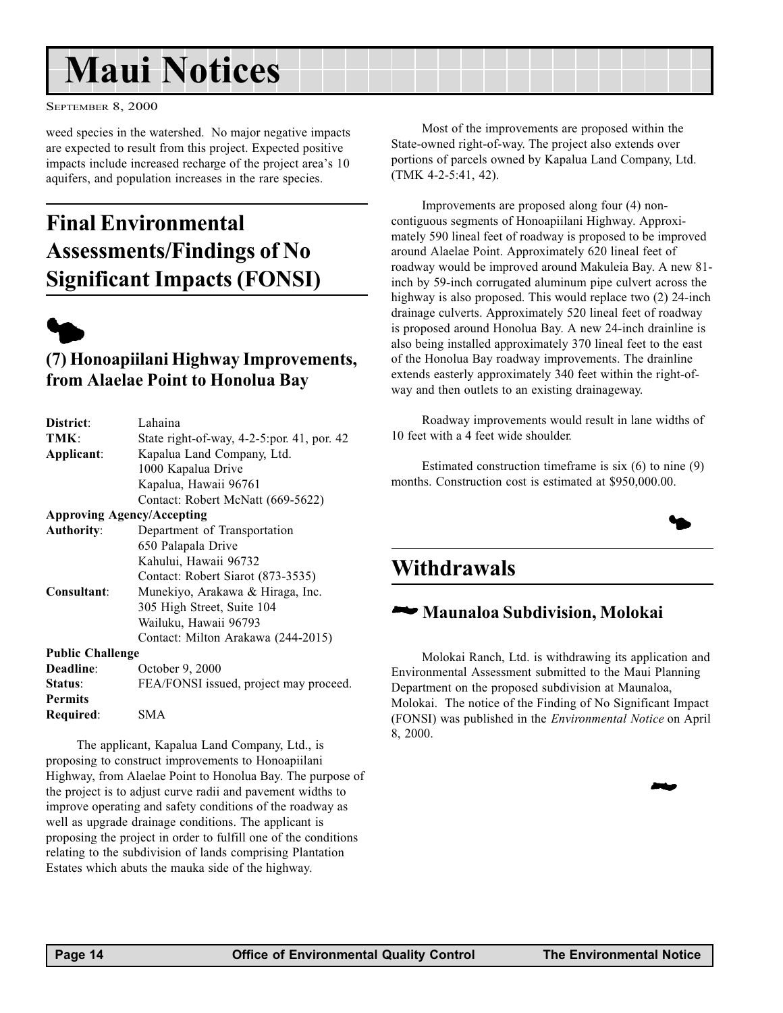# <span id="page-13-0"></span>Maui Notices

SEPTEMBER 8, 2000

weed species in the watershed. No major negative impacts are expected to result from this project. Expected positive impacts include increased recharge of the project area's 10 aquifers, and population increases in the rare species.

# Final Environmental Assessments/Findings of No Significant Impacts (FONSI)



## (7) Honoapiilani Highway Improvements, from Alaelae Point to Honolua Bay

| District:                         | Lahaina                                    |  |
|-----------------------------------|--------------------------------------------|--|
| TMK:                              | State right-of-way, 4-2-5:por. 41, por. 42 |  |
| Applicant:                        | Kapalua Land Company, Ltd.                 |  |
|                                   | 1000 Kapalua Drive                         |  |
|                                   | Kapalua, Hawaii 96761                      |  |
|                                   | Contact: Robert McNatt (669-5622)          |  |
| <b>Approving Agency/Accepting</b> |                                            |  |
| <b>Authority:</b>                 | Department of Transportation               |  |
|                                   | 650 Palapala Drive                         |  |
|                                   | Kahului, Hawaii 96732                      |  |
|                                   | Contact: Robert Siarot (873-3535)          |  |
| Consultant:                       | Munekiyo, Arakawa & Hiraga, Inc.           |  |
|                                   | 305 High Street, Suite 104                 |  |
|                                   | Wailuku, Hawaii 96793                      |  |
|                                   | Contact: Milton Arakawa (244-2015)         |  |
| <b>Public Challenge</b>           |                                            |  |
| Deadline:                         | October 9, 2000                            |  |
| Status:                           | FEA/FONSI issued, project may proceed.     |  |
| <b>Permits</b>                    |                                            |  |
| Required:                         | SMA                                        |  |

The applicant, Kapalua Land Company, Ltd., is proposing to construct improvements to Honoapiilani Highway, from Alaelae Point to Honolua Bay. The purpose of the project is to adjust curve radii and pavement widths to improve operating and safety conditions of the roadway as well as upgrade drainage conditions. The applicant is proposing the project in order to fulfill one of the conditions relating to the subdivision of lands comprising Plantation Estates which abuts the mauka side of the highway.

Most of the improvements are proposed within the State-owned right-of-way. The project also extends over portions of parcels owned by Kapalua Land Company, Ltd. (TMK 4-2-5:41, 42).

Improvements are proposed along four (4) noncontiguous segments of Honoapiilani Highway. Approximately 590 lineal feet of roadway is proposed to be improved around Alaelae Point. Approximately 620 lineal feet of roadway would be improved around Makuleia Bay. A new 81 inch by 59-inch corrugated aluminum pipe culvert across the highway is also proposed. This would replace two  $(2)$  24-inch drainage culverts. Approximately 520 lineal feet of roadway is proposed around Honolua Bay. A new 24-inch drainline is also being installed approximately 370 lineal feet to the east of the Honolua Bay roadway improvements. The drainline extends easterly approximately 340 feet within the right-ofway and then outlets to an existing drainageway.

Roadway improvements would result in lane widths of 10 feet with a 4 feet wide shoulder.

Estimated construction timeframe is six (6) to nine (9) months. Construction cost is estimated at \$950,000.00.



**24** 

# **Withdrawals**

# 2Maunaloa Subdivision, Molokai

Molokai Ranch, Ltd. is withdrawing its application and Environmental Assessment submitted to the Maui Planning Department on the proposed subdivision at Maunaloa, Molokai. The notice of the Finding of No Significant Impact (FONSI) was published in the Environmental Notice on April 8, 2000.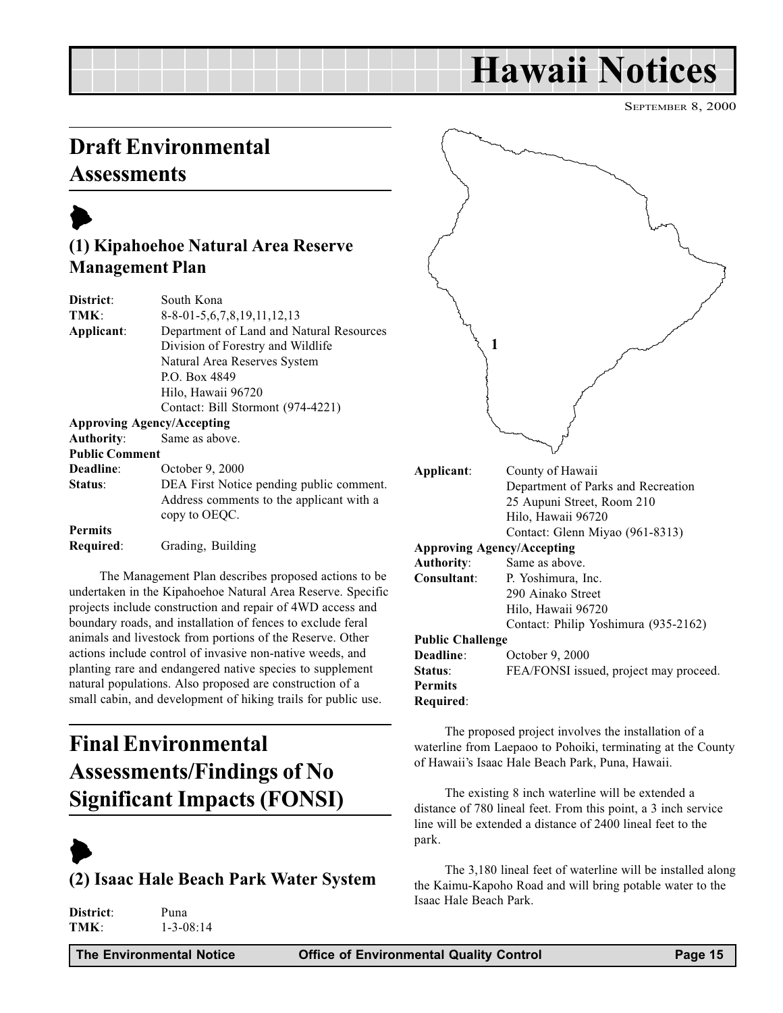# Hawaii Notices

SEPTEMBER 8, 2000

# <span id="page-14-0"></span>Draft Environmental **Assessments**

# $\blacktriangleright$

# (1) Kipahoehoe Natural Area Reserve Management Plan

| District:             | South Kona                               |
|-----------------------|------------------------------------------|
| TMK:                  | $8-8-01-5, 6, 7, 8, 19, 11, 12, 13$      |
| Applicant:            | Department of Land and Natural Resources |
|                       | Division of Forestry and Wildlife        |
|                       | Natural Area Reserves System             |
|                       | P.O. Box 4849                            |
|                       | Hilo, Hawaii 96720                       |
|                       | Contact: Bill Stormont (974-4221)        |
|                       | <b>Approving Agency/Accepting</b>        |
| <b>Authority:</b>     | Same as above.                           |
| <b>Public Comment</b> |                                          |
| Deadline:             | October 9, 2000                          |
| Status:               | DEA First Notice pending public comment. |
|                       | Address comments to the applicant with a |
|                       | copy to OEQC.                            |
| <b>Permits</b>        |                                          |
| Required:             | Grading, Building                        |

The Management Plan describes proposed actions to be undertaken in the Kipahoehoe Natural Area Reserve. Specific projects include construction and repair of 4WD access and boundary roads, and installation of fences to exclude feral animals and livestock from portions of the Reserve. Other actions include control of invasive non-native weeds, and planting rare and endangered native species to supplement natural populations. Also proposed are construction of a small cabin, and development of hiking trails for public use.

# Final Environmental Assessments/Findings of No Significant Impacts (FONSI)

# $\blacktriangleright$ (2) Isaac Hale Beach Park Water System

| District: | Puna            |
|-----------|-----------------|
| TMK:      | $1 - 3 - 08:14$ |



Approving Agency/Accepting

|                         | $A$ pproving $A$ gency/ $A$ ecepung    |
|-------------------------|----------------------------------------|
| Authority:              | Same as above.                         |
| Consultant:             | P. Yoshimura, Inc.                     |
|                         | 290 Ainako Street                      |
|                         | Hilo, Hawaii 96720                     |
|                         | Contact: Philip Yoshimura (935-2162)   |
| <b>Public Challenge</b> |                                        |
| <b>Deadline:</b>        | October 9, 2000                        |
| <b>Status:</b>          | FEA/FONSI issued, project may proceed. |
| Permits                 |                                        |
| Required:               |                                        |
|                         |                                        |

The proposed project involves the installation of a waterline from Laepaoo to Pohoiki, terminating at the County of Hawaii's Isaac Hale Beach Park, Puna, Hawaii.

The existing 8 inch waterline will be extended a distance of 780 lineal feet. From this point, a 3 inch service line will be extended a distance of 2400 lineal feet to the park.

The 3,180 lineal feet of waterline will be installed along the Kaimu-Kapoho Road and will bring potable water to the Isaac Hale Beach Park.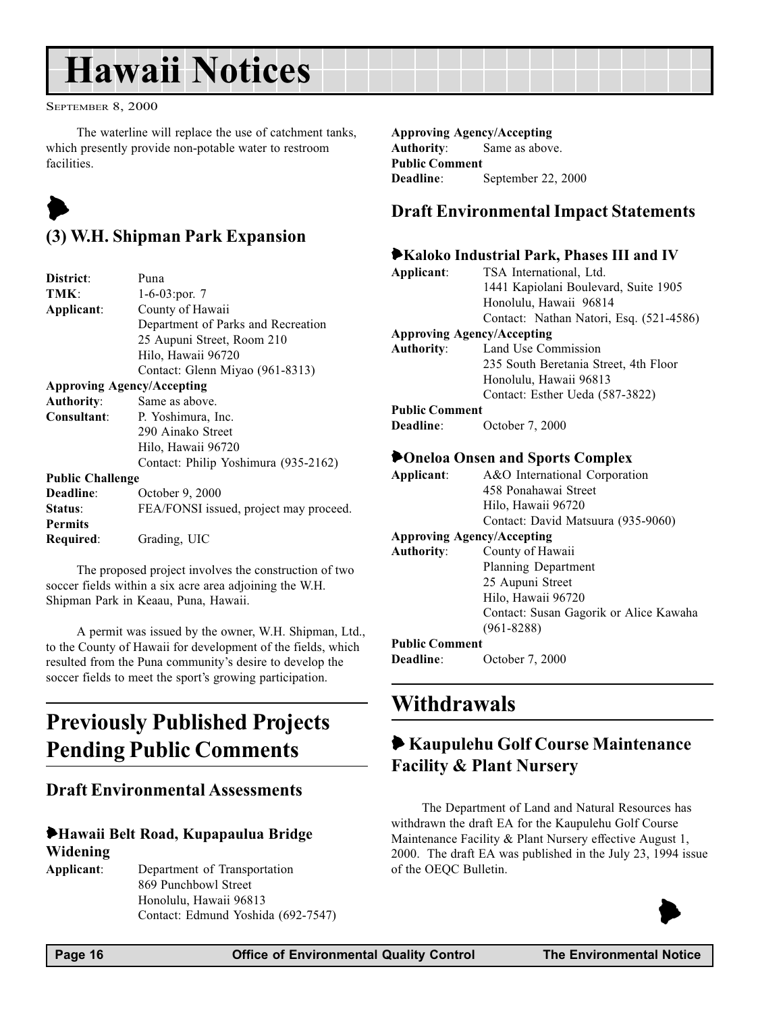# <span id="page-15-0"></span>Hawaii Notices

SEPTEMBER 8, 2000

The waterline will replace the use of catchment tanks, which presently provide non-potable water to restroom facilities.

# $\blacktriangleright$

# (3) W.H. Shipman Park Expansion

| District:                         | Puna                                   |  |  |
|-----------------------------------|----------------------------------------|--|--|
| TMK:                              | $1-6-03$ : por. 7                      |  |  |
| County of Hawaii<br>Applicant:    |                                        |  |  |
|                                   | Department of Parks and Recreation     |  |  |
|                                   | 25 Aupuni Street, Room 210             |  |  |
|                                   | Hilo, Hawaii 96720                     |  |  |
|                                   | Contact: Glenn Miyao (961-8313)        |  |  |
| <b>Approving Agency/Accepting</b> |                                        |  |  |
| <b>Authority:</b>                 | Same as above.                         |  |  |
| <b>Consultant:</b>                | P. Yoshimura, Inc.                     |  |  |
|                                   | 290 Ainako Street                      |  |  |
|                                   | Hilo, Hawaii 96720                     |  |  |
|                                   | Contact: Philip Yoshimura (935-2162)   |  |  |
| <b>Public Challenge</b>           |                                        |  |  |
| Deadline:                         | October 9, 2000                        |  |  |
| Status:                           | FEA/FONSI issued, project may proceed. |  |  |
| <b>Permits</b>                    |                                        |  |  |
| Required:                         | Grading, UIC                           |  |  |
|                                   |                                        |  |  |

The proposed project involves the construction of two soccer fields within a six acre area adjoining the W.H. Shipman Park in Keaau, Puna, Hawaii.

A permit was issued by the owner, W.H. Shipman, Ltd., to the County of Hawaii for development of the fields, which resulted from the Puna community's desire to develop the soccer fields to meet the sport's growing participation.

# Previously Published Projects Pending Public Comments

## Draft Environmental Assessments

### 6Hawaii Belt Road, Kupapaulua Bridge Widening

Applicant: Department of Transportation 869 Punchbowl Street Honolulu, Hawaii 96813 Contact: Edmund Yoshida (692-7547) Approving Agency/Accepting Authority: Same as above. Public Comment Deadline: September 22, 2000

### Draft Environmental Impact Statements

# 6Kaloko Industrial Park, Phases III and IV

| Applicant:            | TSA International, Ltd.                 |  |  |
|-----------------------|-----------------------------------------|--|--|
|                       | 1441 Kapiolani Boulevard, Suite 1905    |  |  |
|                       | Honolulu, Hawaii 96814                  |  |  |
|                       | Contact: Nathan Natori, Esq. (521-4586) |  |  |
|                       | <b>Approving Agency/Accepting</b>       |  |  |
| <b>Authority:</b>     | Land Use Commission                     |  |  |
|                       | 235 South Beretania Street, 4th Floor   |  |  |
|                       | Honolulu, Hawaii 96813                  |  |  |
|                       | Contact: Esther Ueda (587-3822)         |  |  |
| <b>Public Comment</b> |                                         |  |  |
| <b>Deadline:</b>      | October 7, 2000                         |  |  |
|                       |                                         |  |  |
|                       | <b>POneloa Onsen and Sports Complex</b> |  |  |
| Applicant:            | A&O International Corporation           |  |  |
|                       | 458 Ponahawai Street                    |  |  |
|                       | Hilo, Hawaii 96720                      |  |  |
|                       | Contact: David Matsuura (935-9060)      |  |  |
|                       | <b>Approving Agency/Accepting</b>       |  |  |
| <b>Authority:</b>     | County of Hawaii                        |  |  |
|                       |                                         |  |  |
|                       |                                         |  |  |
|                       | Planning Department<br>25 Aupuni Street |  |  |

#### (961-8288) Public Comment

Deadline: October 7, 2000

# Withdrawals

# 6 Kaupulehu Golf Course Maintenance Facility & Plant Nursery

Contact: Susan Gagorik or Alice Kawaha

The Department of Land and Natural Resources has withdrawn the draft EA for the Kaupulehu Golf Course Maintenance Facility & Plant Nursery effective August 1, 2000. The draft EA was published in the July 23, 1994 issue of the OEQC Bulletin.

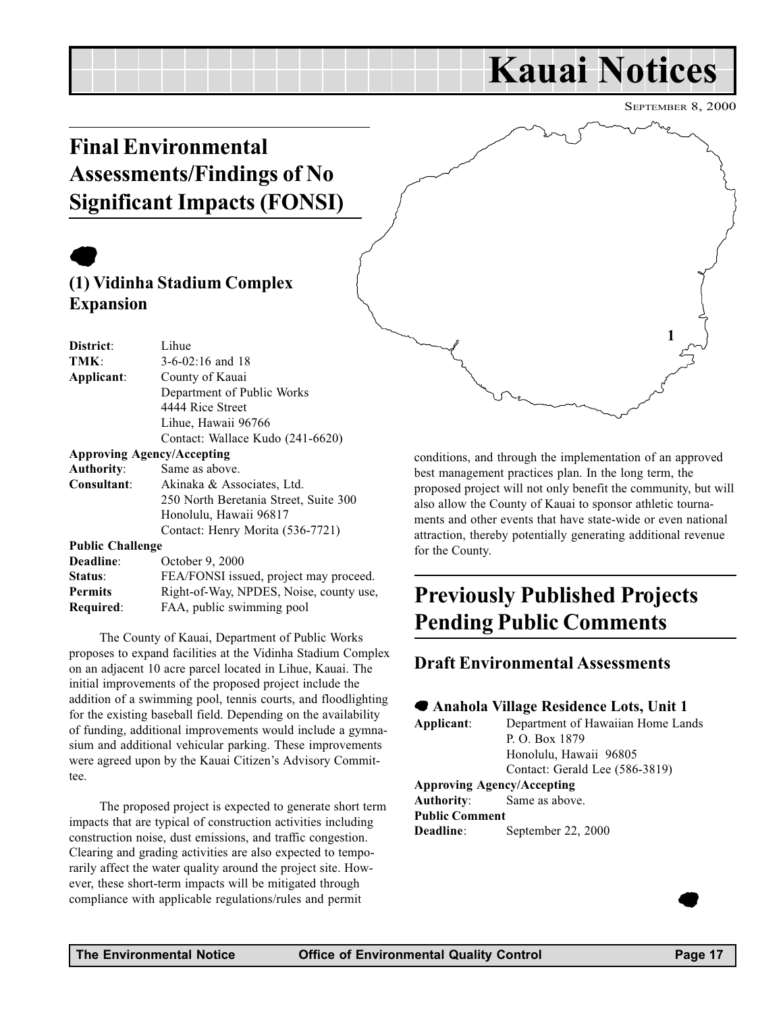# Kauai Notices

SEPTEMBER 8, 2000

1

# <span id="page-16-0"></span>Final Environmental Assessments/Findings of No Significant Impacts (FONSI)

# $\bullet$

# (1) Vidinha Stadium Complex Expansion

| District:                         | Lihue                                   |
|-----------------------------------|-----------------------------------------|
| TMK:                              | $3-6-02:16$ and 18                      |
| Applicant:                        | County of Kauai                         |
|                                   | Department of Public Works              |
|                                   | 4444 Rice Street                        |
|                                   | Lihue, Hawaii 96766                     |
|                                   | Contact: Wallace Kudo (241-6620)        |
| <b>Approving Agency/Accepting</b> |                                         |
| <b>Authority:</b>                 | Same as above.                          |
| Consultant:                       | Akinaka & Associates, Ltd.              |
|                                   | 250 North Beretania Street, Suite 300   |
|                                   | Honolulu, Hawaii 96817                  |
|                                   | Contact: Henry Morita (536-7721)        |
| <b>Public Challenge</b>           |                                         |
| Deadline:                         | October 9, 2000                         |
| Status:                           | FEA/FONSI issued, project may proceed.  |
| <b>Permits</b>                    | Right-of-Way, NPDES, Noise, county use, |

Required: FAA, public swimming pool

The County of Kauai, Department of Public Works proposes to expand facilities at the Vidinha Stadium Complex on an adjacent 10 acre parcel located in Lihue, Kauai. The initial improvements of the proposed project include the addition of a swimming pool, tennis courts, and floodlighting for the existing baseball field. Depending on the availability of funding, additional improvements would include a gymnasium and additional vehicular parking. These improvements were agreed upon by the Kauai Citizen's Advisory Committee.

The proposed project is expected to generate short term impacts that are typical of construction activities including construction noise, dust emissions, and traffic congestion. Clearing and grading activities are also expected to temporarily affect the water quality around the project site. However, these short-term impacts will be mitigated through compliance with applicable regulations/rules and permit

conditions, and through the implementation of an approved best management practices plan. In the long term, the proposed project will not only benefit the community, but will also allow the County of Kauai to sponsor athletic tournaments and other events that have state-wide or even national attraction, thereby potentially generating additional revenue for the County.

# Previously Published Projects Pending Public Comments

### Draft Environmental Assessments

#### 7 Anahola Village Residence Lots, Unit 1

Applicant: Department of Hawaiian Home Lands P. O. Box 1879 Honolulu, Hawaii 96805 Contact: Gerald Lee (586-3819) Approving Agency/Accepting Authority: Same as above. Public Comment Deadline: September 22, 2000

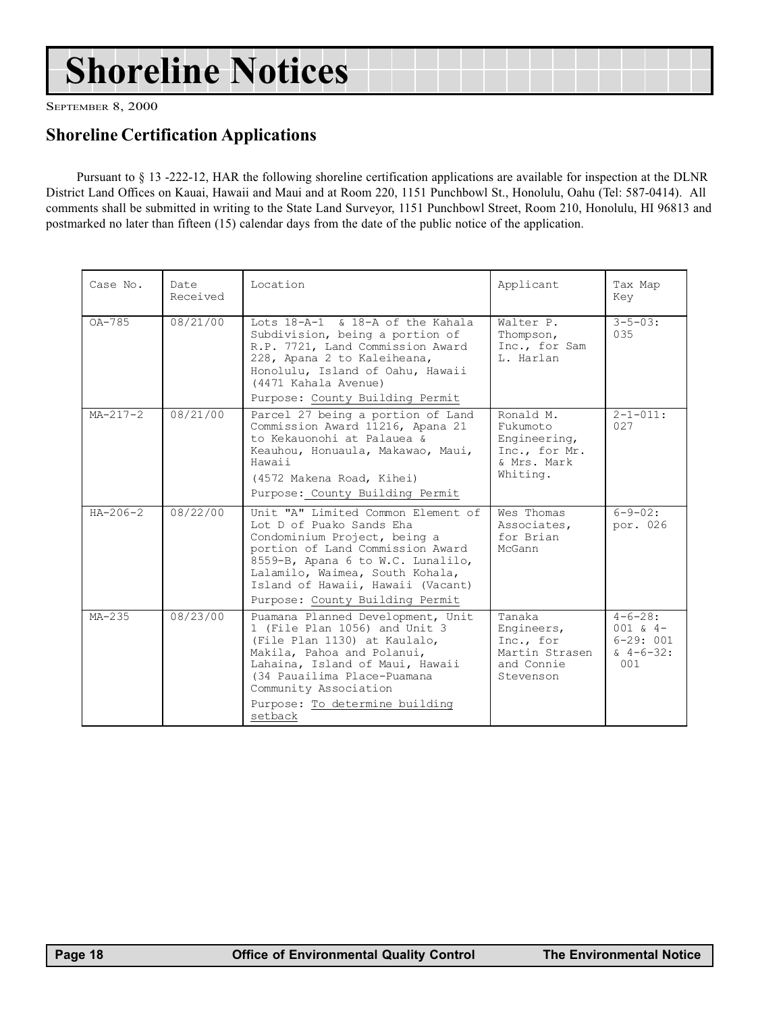# Shoreline Notices

SEPTEMBER 8, 2000

## Shoreline Certification Applications

Pursuant to § 13 -222-12, HAR the following shoreline certification applications are available for inspection at the DLNR District Land Offices on Kauai, Hawaii and Maui and at Room 220, 1151 Punchbowl St., Honolulu, Oahu (Tel: 587-0414). All comments shall be submitted in writing to the State Land Surveyor, 1151 Punchbowl Street, Room 210, Honolulu, HI 96813 and postmarked no later than fifteen (15) calendar days from the date of the public notice of the application.

| Case No.       | Date<br>Received | Location                                                                                                                                                                                                                                                                           | Applicant                                                                         | Tax Map<br>Key                                                          |
|----------------|------------------|------------------------------------------------------------------------------------------------------------------------------------------------------------------------------------------------------------------------------------------------------------------------------------|-----------------------------------------------------------------------------------|-------------------------------------------------------------------------|
| $OA-785$       | 08/21/00         | Lots 18-A-1 & 18-A of the Kahala<br>Subdivision, being a portion of<br>R.P. 7721, Land Commission Award<br>228, Apana 2 to Kaleiheana,<br>Honolulu, Island of Oahu, Hawaii<br>(4471 Kahala Avenue)<br>Purpose: County Building Permit                                              | Walter P.<br>Thompson,<br>Inc., for Sam<br>L. Harlan                              | $3 - 5 - 0.3$ :<br>035                                                  |
| $MA - 217 - 2$ | 08/21/00         | Parcel 27 being a portion of Land<br>Commission Award 11216, Apana 21<br>to Kekauonohi at Palauea &<br>Keauhou, Honuaula, Makawao, Maui,<br>Hawaii<br>(4572 Makena Road, Kihei)<br>Purpose: County Building Permit                                                                 | Ronald M.<br>Fukumoto<br>Engineering,<br>Inc., for Mr.<br>& Mrs. Mark<br>Whiting. | $2 - 1 - 011:$<br>027                                                   |
| $HA - 206 - 2$ | 08/22/00         | Unit "A" Limited Common Element of<br>Lot D of Puako Sands Eha<br>Condominium Project, being a<br>portion of Land Commission Award<br>8559-B, Apana 6 to W.C. Lunalilo,<br>Lalamilo, Waimea, South Kohala,<br>Island of Hawaii, Hawaii (Vacant)<br>Purpose: County Building Permit | Wes Thomas<br>Associates,<br>for Brian<br>McGann                                  | $6 - 9 - 02:$<br>por. 026                                               |
| $MA-235$       | 08/23/00         | Puamana Planned Development, Unit<br>1 (File Plan 1056) and Unit 3<br>(File Plan 1130) at Kaulalo,<br>Makila, Pahoa and Polanui,<br>Lahaina, Island of Maui, Hawaii<br>(34 Pauailima Place-Puamana<br>Community Association<br>Purpose: To determine building<br>setback           | Tanaka<br>Engineers,<br>Inc., for<br>Martin Strasen<br>and Connie<br>Stevenson    | $4 - 6 - 28:$<br>$001 \times 4-$<br>$6 - 29:001$<br>$\& 4-6-32:$<br>001 |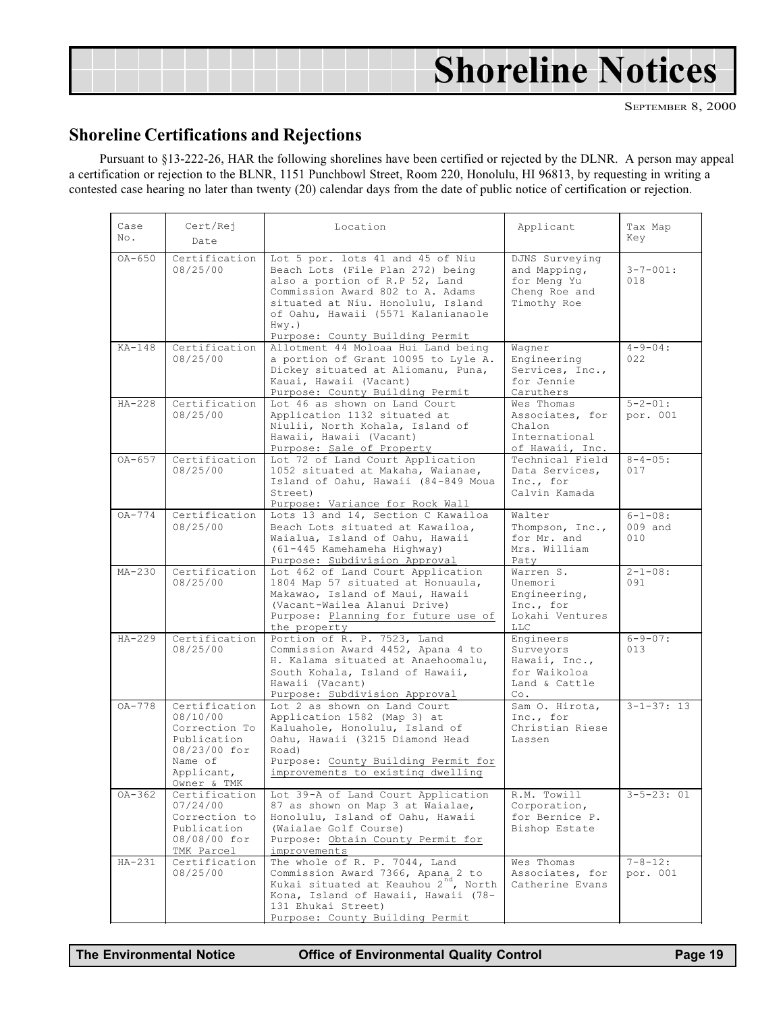<span id="page-18-0"></span>

|  | <b>Shoreline Notices</b> |
|--|--------------------------|
|  |                          |

### Shoreline Certifications and Rejections

Pursuant to §13-222-26, HAR the following shorelines have been certified or rejected by the DLNR. A person may appeal a certification or rejection to the BLNR, 1151 Punchbowl Street, Room 220, Honolulu, HI 96813, by requesting in writing a contested case hearing no later than twenty (20) calendar days from the date of public notice of certification or rejection.

| Case<br>No. | Cert/Rej<br>Date                                                                                                  | Location<br>Applicant                                                                                                                                                                                                                                                |                                                                                    | Tax Map<br>Key                  |
|-------------|-------------------------------------------------------------------------------------------------------------------|----------------------------------------------------------------------------------------------------------------------------------------------------------------------------------------------------------------------------------------------------------------------|------------------------------------------------------------------------------------|---------------------------------|
| $0A - 650$  | Certification<br>08/25/00                                                                                         | Lot 5 por. lots 41 and 45 of Niu<br>Beach Lots (File Plan 272) being<br>also a portion of R.P 52, Land<br>Commission Award 802 to A. Adams<br>situated at Niu. Honolulu, Island<br>of Oahu, Hawaii (5571 Kalanianaole<br>$Hwy.$ )<br>Purpose: County Building Permit | DJNS Surveying<br>and Mapping,<br>for Meng Yu<br>Cheng Roe and<br>Timothy Roe      | $3 - 7 - 001:$<br>018           |
| $KA-148$    | Certification<br>08/25/00                                                                                         | Allotment 44 Moloaa Hui Land being<br>a portion of Grant 10095 to Lyle A.<br>Dickey situated at Aliomanu, Puna,<br>Kauai, Hawaii (Vacant)<br>Purpose: County Building Permit                                                                                         | Wagner<br>Engineering<br>Services, Inc.,<br>for Jennie<br>Caruthers                | $4 - 9 - 04:$<br>022            |
| $HA-228$    | Certification<br>08/25/00                                                                                         | Lot 46 as shown on Land Court<br>Application 1132 situated at<br>Niulii, North Kohala, Island of<br>Hawaii, Hawaii (Vacant)<br>Purpose: Sale of Property                                                                                                             | Wes Thomas<br>Associates, for<br>Chalon<br>International<br>of Hawaii, Inc.        | $5 - 2 - 01:$<br>por. 001       |
| $OA-657$    | Certification<br>08/25/00                                                                                         | Lot 72 of Land Court Application<br>1052 situated at Makaha, Waianae,<br>Island of Oahu, Hawaii (84-849 Moua<br>Street)<br>Purpose: Variance for Rock Wall                                                                                                           | Technical Field<br>Data Services,<br>Inc., for<br>Calvin Kamada                    | $8 - 4 - 05:$<br>017            |
| $OA-774$    | Certification<br>08/25/00                                                                                         | Lots 13 and 14, Section C Kawailoa<br>Beach Lots situated at Kawailoa,<br>Waialua, Island of Oahu, Hawaii<br>(61-445 Kamehameha Highway)<br>Purpose: Subdivision Approval                                                                                            | Walter<br>Thompson, Inc.,<br>for Mr. and<br>Mrs. William<br>Paty                   | $6 - 1 - 08:$<br>009 and<br>010 |
| $MA-230$    | Certification<br>08/25/00                                                                                         | Lot 462 of Land Court Application<br>1804 Map 57 situated at Honuaula,<br>Makawao, Island of Maui, Hawaii<br>(Vacant-Wailea Alanui Drive)<br>Purpose: Planning for future use of<br>the property                                                                     | Warren S.<br>Unemori<br>Engineering,<br>Inc., for<br>Lokahi Ventures<br><b>LLC</b> | $2 - 1 - 08:$<br>091            |
| $HA-229$    | Certification<br>08/25/00                                                                                         | Portion of R. P. 7523, Land<br>Commission Award 4452, Apana 4 to<br>H. Kalama situated at Anaehoomalu,<br>South Kohala, Island of Hawaii,<br>Hawaii (Vacant)<br>Purpose: Subdivision Approval                                                                        | Engineers<br>Surveyors<br>Hawaii, Inc.,<br>for Waikoloa<br>Land & Cattle<br>Co.    | $6 - 9 - 07:$<br>013            |
| $OA-778$    | Certification<br>08/10/00<br>Correction To<br>Publication<br>08/23/00 for<br>Name of<br>Applicant,<br>Owner & TMK | Lot 2 as shown on Land Court<br>Application 1582 (Map 3) at<br>Kaluahole, Honolulu, Island of<br>Oahu, Hawaii (3215 Diamond Head<br>Road)<br>Purpose: County Building Permit for<br>improvements to existing dwelling                                                | Sam O. Hirota,<br>Inc., for<br>Christian Riese<br>Lassen                           | $3 - 1 - 37:13$                 |
| $OA - 362$  | Certification<br>07/24/00<br>Correction to<br>Publication<br>08/08/00 for<br>TMK Parcel                           | Lot 39-A of Land Court Application<br>87 as shown on Map 3 at Waialae,<br>Honolulu, Island of Oahu, Hawaii<br>(Waialae Golf Course)<br>Purpose: Obtain County Permit for<br>improvements                                                                             | R.M. Towill<br>Corporation,<br>for Bernice P.<br>Bishop Estate                     | $3 - 5 - 23:01$                 |
| $HA-231$    | Certification<br>08/25/00                                                                                         | The whole of R. P. 7044, Land<br>Commission Award 7366, Apana 2 to<br>Kukai situated at Keauhou 2 <sup>nd</sup> , North<br>Kona, Island of Hawaii, Hawaii (78-<br>131 Ehukai Street)<br>Purpose: County Building Permit                                              | Wes Thomas<br>Associates, for<br>Catherine Evans                                   | $7 - 8 - 12:$<br>por. 001       |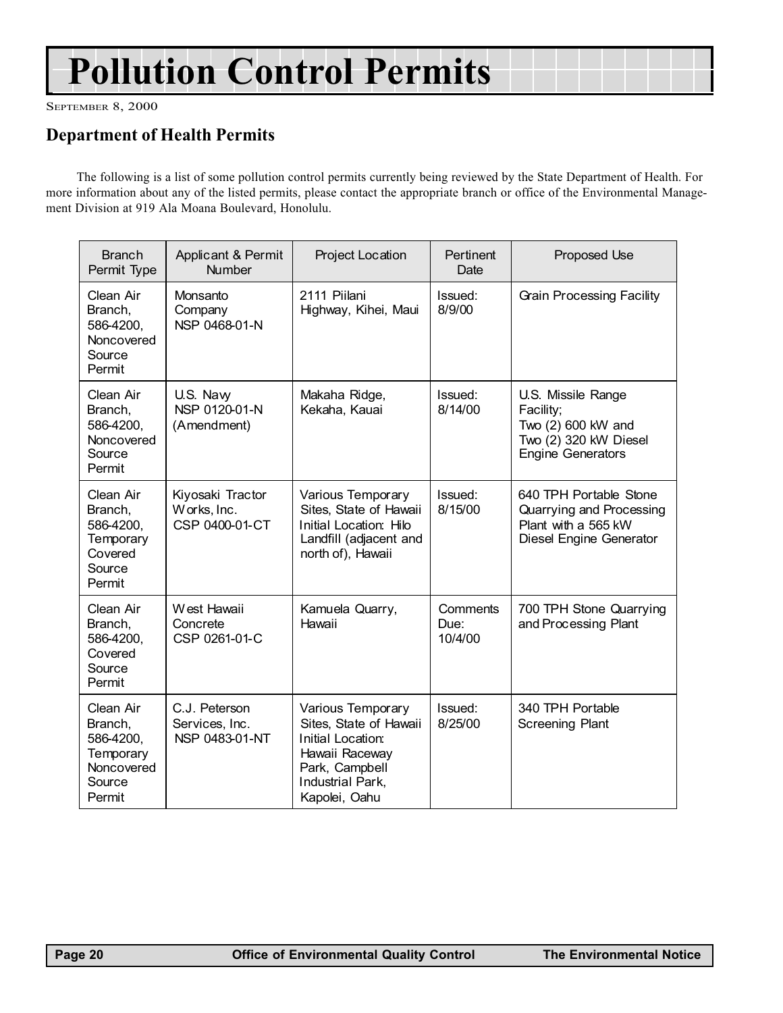# Pollution Control Permits

SEPTEMBER 8, 2000

# Department of Health Permits

The following is a list of some pollution control permits currently being reviewed by the State Department of Health. For more information about any of the listed permits, please contact the appropriate branch or office of the Environmental Management Division at 919 Ala Moana Boulevard, Honolulu.

| <b>Branch</b><br>Permit Type                                                     | Applicant & Permit<br><b>Number</b>               | Project Location                                                                                                                          | Pertinent<br>Date           | Proposed Use                                                                                                |
|----------------------------------------------------------------------------------|---------------------------------------------------|-------------------------------------------------------------------------------------------------------------------------------------------|-----------------------------|-------------------------------------------------------------------------------------------------------------|
| Clean Air<br>Branch,<br>586-4200,<br>Noncovered<br>Source<br>Permit              | Monsanto<br>Company<br>NSP 0468-01-N              | 2111 Piilani<br>Highway, Kihei, Maui                                                                                                      | Issued:<br>8/9/00           | Grain Processing Facility                                                                                   |
| Clean Air<br>Branch,<br>586-4200,<br>Noncovered<br>Source<br>Permit              | U.S. Naw<br>NSP 0120-01-N<br>(Amendment)          | Makaha Ridge,<br>Kekaha, Kauai                                                                                                            | Issued:<br>8/14/00          | U.S. Missile Range<br>Facility;<br>Two (2) 600 kW and<br>Two (2) 320 kW Diesel<br><b>Engine Generators</b>  |
| Clean Air<br>Branch,<br>586-4200,<br>Temporary<br>Covered<br>Source<br>Permit    | Kiyosaki Tractor<br>Works, Inc.<br>CSP 0400-01-CT | Various Temporary<br>Sites, State of Hawaii<br>Initial Location: Hilo<br>Landfill (adjacent and<br>north of), Hawaii                      | Issued:<br>8/15/00          | 640 TPH Portable Stone<br>Quarrying and Processing<br>Plant with a 565 kW<br><b>Diesel Engine Generator</b> |
| Clean Air<br>Branch,<br>586-4200,<br>Covered<br>Source<br>Permit                 | West Hawaii<br>Concrete<br>CSP 0261-01-C          | Kamuela Quarry,<br>Hawaii                                                                                                                 | Comments<br>Due:<br>10/4/00 | 700 TPH Stone Quarrying<br>and Processing Plant                                                             |
| Clean Air<br>Branch,<br>586-4200,<br>Temporary<br>Noncovered<br>Source<br>Permit | C.J. Peterson<br>Services, Inc.<br>NSP 0483-01-NT | Various Temporary<br>Sites, State of Hawaii<br>Initial Location:<br>Hawaii Raceway<br>Park, Campbell<br>Industrial Park,<br>Kapolei, Oahu | Issued:<br>8/25/00          | 340 TPH Portable<br><b>Screening Plant</b>                                                                  |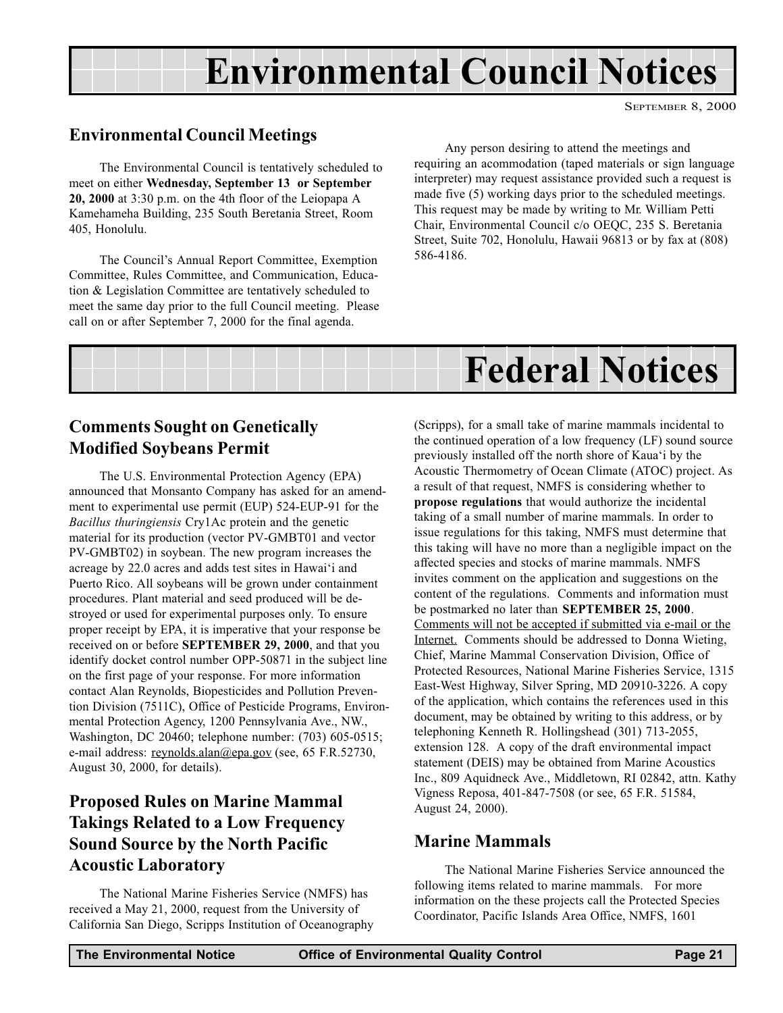# Environmental Council Notices

SEPTEMBER 8, 2000

## <span id="page-20-0"></span>Environmental Council Meetings

The Environmental Council is tentatively scheduled to meet on either Wednesday, September 13 or September 20, 2000 at 3:30 p.m. on the 4th floor of the Leiopapa A Kamehameha Building, 235 South Beretania Street, Room 405, Honolulu.

The Council's Annual Report Committee, Exemption Committee, Rules Committee, and Communication, Education & Legislation Committee are tentatively scheduled to meet the same day prior to the full Council meeting. Please call on or after September 7, 2000 for the final agenda.

Any person desiring to attend the meetings and requiring an acommodation (taped materials or sign language interpreter) may request assistance provided such a request is made five (5) working days prior to the scheduled meetings. This request may be made by writing to Mr. William Petti Chair, Environmental Council c/o OEQC, 235 S. Beretania Street, Suite 702, Honolulu, Hawaii 96813 or by fax at (808) 586-4186.



## Comments Sought on Genetically Modified Soybeans Permit

The U.S. Environmental Protection Agency (EPA) announced that Monsanto Company has asked for an amendment to experimental use permit (EUP) 524-EUP-91 for the Bacillus thuringiensis Cry1Ac protein and the genetic material for its production (vector PV-GMBT01 and vector PV-GMBT02) in soybean. The new program increases the acreage by 22.0 acres and adds test sites in Hawai'i and Puerto Rico. All soybeans will be grown under containment procedures. Plant material and seed produced will be destroyed or used for experimental purposes only. To ensure proper receipt by EPA, it is imperative that your response be received on or before SEPTEMBER 29, 2000, and that you identify docket control number OPP-50871 in the subject line on the first page of your response. For more information contact Alan Reynolds, Biopesticides and Pollution Prevention Division (7511C), Office of Pesticide Programs, Environmental Protection Agency, 1200 Pennsylvania Ave., NW., Washington, DC 20460; telephone number: (703) 605-0515; e-mail address: reynolds.alan@epa.gov (see, 65 F.R.52730, August 30, 2000, for details).

# Proposed Rules on Marine Mammal Takings Related to a Low Frequency Sound Source by the North Pacific Acoustic Laboratory

The National Marine Fisheries Service (NMFS) has received a May 21, 2000, request from the University of California San Diego, Scripps Institution of Oceanography (Scripps), for a small take of marine mammals incidental to the continued operation of a low frequency (LF) sound source previously installed off the north shore of Kaua'i by the Acoustic Thermometry of Ocean Climate (ATOC) project. As a result of that request, NMFS is considering whether to propose regulations that would authorize the incidental taking of a small number of marine mammals. In order to issue regulations for this taking, NMFS must determine that this taking will have no more than a negligible impact on the affected species and stocks of marine mammals. NMFS invites comment on the application and suggestions on the content of the regulations. Comments and information must be postmarked no later than SEPTEMBER 25, 2000. Comments will not be accepted if submitted via e-mail or the Internet. Comments should be addressed to Donna Wieting, Chief, Marine Mammal Conservation Division, Office of Protected Resources, National Marine Fisheries Service, 1315 East-West Highway, Silver Spring, MD 20910-3226. A copy of the application, which contains the references used in this document, may be obtained by writing to this address, or by telephoning Kenneth R. Hollingshead (301) 713-2055, extension 128. A copy of the draft environmental impact statement (DEIS) may be obtained from Marine Acoustics Inc., 809 Aquidneck Ave., Middletown, RI 02842, attn. Kathy Vigness Reposa, 401-847-7508 (or see, 65 F.R. 51584, August 24, 2000).

### Marine Mammals

The National Marine Fisheries Service announced the following items related to marine mammals. For more information on the these projects call the Protected Species Coordinator, Pacific Islands Area Office, NMFS, 1601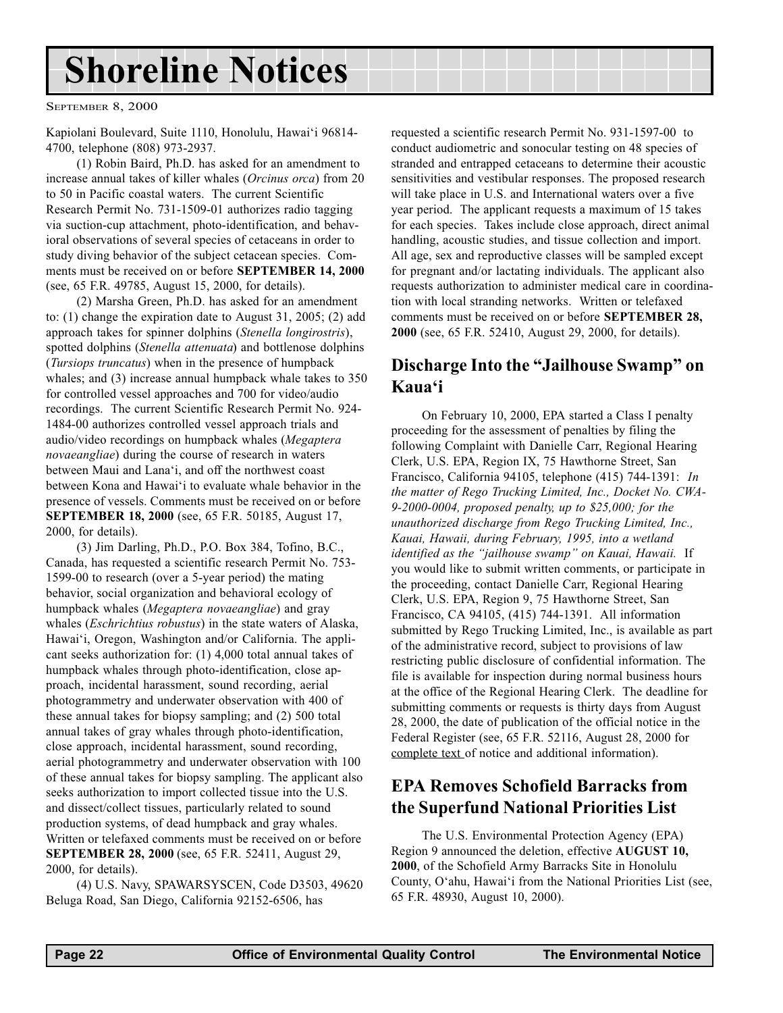# <span id="page-21-0"></span>Shoreline Notices

SEPTEMBER 8, 2000

Kapiolani Boulevard, Suite 1110, Honolulu, Hawai'i 96814-4700, telephone (808) 973-2937.

(1) Robin Baird, Ph.D. has asked for an amendment to increase annual takes of killer whales (Orcinus orca) from 20 to 50 in Pacific coastal waters. The current Scientific Research Permit No. 731-1509-01 authorizes radio tagging via suction-cup attachment, photo-identification, and behavioral observations of several species of cetaceans in order to study diving behavior of the subject cetacean species. Comments must be received on or before SEPTEMBER 14, 2000 (see, 65 F.R. 49785, August 15, 2000, for details).

(2) Marsha Green, Ph.D. has asked for an amendment to: (1) change the expiration date to August 31, 2005; (2) add approach takes for spinner dolphins (Stenella longirostris), spotted dolphins (Stenella attenuata) and bottlenose dolphins (Tursiops truncatus) when in the presence of humpback whales; and (3) increase annual humpback whale takes to 350 for controlled vessel approaches and 700 for video/audio recordings. The current Scientific Research Permit No. 924- 1484-00 authorizes controlled vessel approach trials and audio/video recordings on humpback whales (Megaptera novaeangliae) during the course of research in waters between Maui and Lana'i, and off the northwest coast between Kona and Hawai'i to evaluate whale behavior in the presence of vessels. Comments must be received on or before SEPTEMBER 18, 2000 (see, 65 F.R. 50185, August 17, 2000, for details).

(3) Jim Darling, Ph.D., P.O. Box 384, Tofino, B.C., Canada, has requested a scientific research Permit No. 753- 1599-00 to research (over a 5-year period) the mating behavior, social organization and behavioral ecology of humpback whales (Megaptera novaeangliae) and gray whales (*Eschrichtius robustus*) in the state waters of Alaska, Hawai'i, Oregon, Washington and/or California. The applicant seeks authorization for: (1) 4,000 total annual takes of humpback whales through photo-identification, close approach, incidental harassment, sound recording, aerial photogrammetry and underwater observation with 400 of these annual takes for biopsy sampling; and (2) 500 total annual takes of gray whales through photo-identification, close approach, incidental harassment, sound recording, aerial photogrammetry and underwater observation with 100 of these annual takes for biopsy sampling. The applicant also seeks authorization to import collected tissue into the U.S. and dissect/collect tissues, particularly related to sound production systems, of dead humpback and gray whales. Written or telefaxed comments must be received on or before SEPTEMBER 28, 2000 (see, 65 F.R. 52411, August 29, 2000, for details).

(4) U.S. Navy, SPAWARSYSCEN, Code D3503, 49620 Beluga Road, San Diego, California 92152-6506, has

requested a scientific research Permit No. 931-1597-00 to conduct audiometric and sonocular testing on 48 species of stranded and entrapped cetaceans to determine their acoustic sensitivities and vestibular responses. The proposed research will take place in U.S. and International waters over a five year period. The applicant requests a maximum of 15 takes for each species. Takes include close approach, direct animal handling, acoustic studies, and tissue collection and import. All age, sex and reproductive classes will be sampled except for pregnant and/or lactating individuals. The applicant also requests authorization to administer medical care in coordination with local stranding networks. Written or telefaxed comments must be received on or before SEPTEMBER 28, 2000 (see, 65 F.R. 52410, August 29, 2000, for details).

## Discharge Into the "Jailhouse Swamp" on Kaua'i

On February 10, 2000, EPA started a Class I penalty proceeding for the assessment of penalties by filing the following Complaint with Danielle Carr, Regional Hearing Clerk, U.S. EPA, Region IX, 75 Hawthorne Street, San Francisco, California 94105, telephone (415) 744-1391: In the matter of Rego Trucking Limited, Inc., Docket No. CWA-9-2000-0004, proposed penalty, up to \$25,000; for the unauthorized discharge from Rego Trucking Limited, Inc., Kauai, Hawaii, during February, 1995, into a wetland identified as the "jailhouse swamp" on Kauai, Hawaii. If you would like to submit written comments, or participate in the proceeding, contact Danielle Carr, Regional Hearing Clerk, U.S. EPA, Region 9, 75 Hawthorne Street, San Francisco, CA 94105, (415) 744-1391. All information submitted by Rego Trucking Limited, Inc., is available as part of the administrative record, subject to provisions of law restricting public disclosure of confidential information. The file is available for inspection during normal business hours at the office of the Regional Hearing Clerk. The deadline for submitting comments or requests is thirty days from August 28, 2000, the date of publication of the official notice in the Federal Register (see, 65 F.R. 52116, August 28, 2000 for complete text of notice and additional information).

# EPA Removes Schofield Barracks from the Superfund National Priorities List

The U.S. Environmental Protection Agency (EPA) Region 9 announced the deletion, effective AUGUST 10, 2000, of the Schofield Army Barracks Site in Honolulu County, O'ahu, Hawai'i from the National Priorities List (see, 65 F.R. 48930, August 10, 2000).